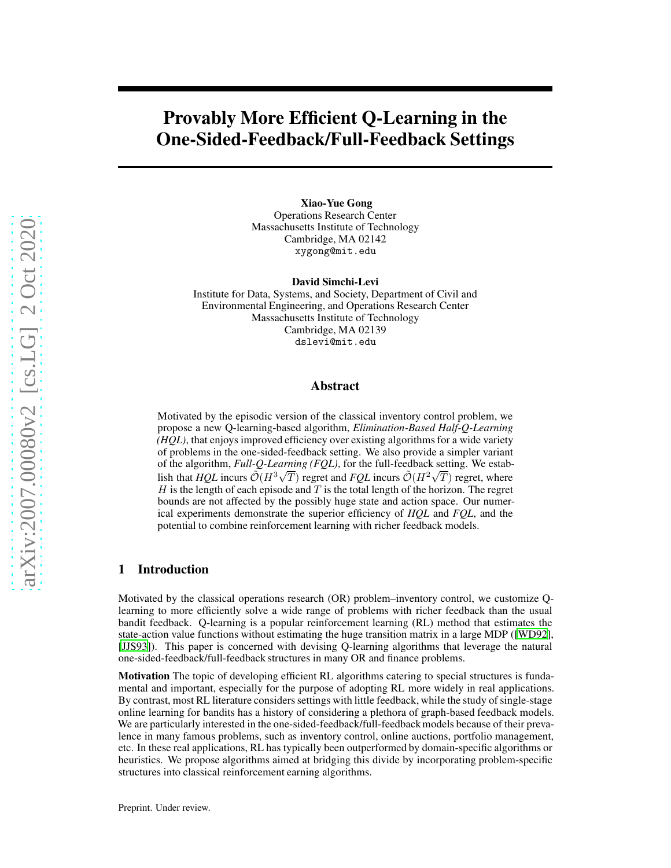# Provably More Efficient Q-Learning in the One-Sided-Feedback/Full-Feedback Settings

Xiao-Yue Gong Operations Research Center Massachusetts Institute of Technology Cambridge, MA 02142 xygong@mit.edu

David Simchi-Levi

Institute for Data, Systems, and Society, Department of Civil and Environmental Engineering, and Operations Research Center Massachusetts Institute of Technology Cambridge, MA 02139 dslevi@mit.edu

#### Abstract

Motivated by the episodic version of the classical inventory control problem, we propose a new Q-learning-based algorithm, *Elimination-Based Half-Q-Learning (HQL)*, that enjoys improved efficiency over existing algorithms for a wide variety of problems in the one-sided-feedback setting. We also provide a simpler variant of the algorithm, *Full-Q-Learning (FQL)*, for the full-feedback setting. We establish that *HQL* incurs  $\mathcal{O}(H^3\sqrt{T})$  regret and *FQL* incurs  $\mathcal{O}(H^2\sqrt{T})$  regret, where  $H$  is the length of each episode and  $T$  is the total length of the horizon. The regret bounds are not affected by the possibly huge state and action space. Our numerical experiments demonstrate the superior efficiency of *HQL* and *FQL*, and the potential to combine reinforcement learning with richer feedback models.

#### 1 Introduction

Motivated by the classical operations research (OR) problem–inventory control, we customize Qlearning to more efficiently solve a wide range of problems with richer feedback than the usual bandit feedback. Q-learning is a popular reinforcement learning (RL) method that estimates the state-action value functions without estimating the huge transition matrix in a large MDP ([\[WD92\]](#page-9-0), [\[JJS93\]](#page-9-1)). This paper is concerned with devising Q-learning algorithms that leverage the natural one-sided-feedback/full-feedback structures in many OR and finance problems.

Motivation The topic of developing efficient RL algorithms catering to special structures is fundamental and important, especially for the purpose of adopting RL more widely in real applications. By contrast, most RL literature considers settings with little feedback, while the study of single-stage online learning for bandits has a history of considering a plethora of graph-based feedback models. We are particularly interested in the one-sided-feedback/full-feedback models because of their prevalence in many famous problems, such as inventory control, online auctions, portfolio management, etc. In these real applications, RL has typically been outperformed by domain-specific algorithms or heuristics. We propose algorithms aimed at bridging this divide by incorporating problem-specific structures into classical reinforcement earning algorithms.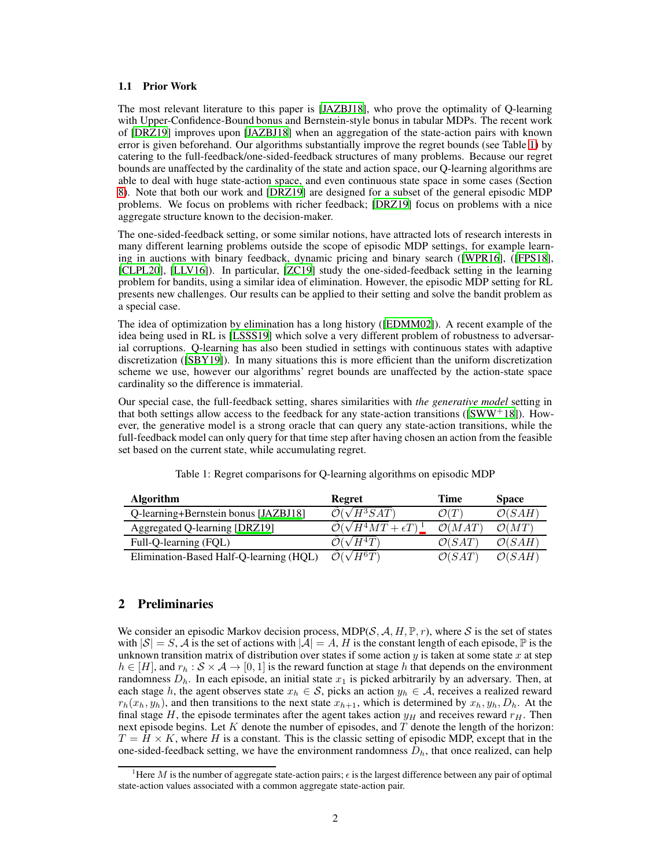#### 1.1 Prior Work

The most relevant literature to this paper is [\[JAZBJ18](#page-9-2)], who prove the optimality of Q-learning with Upper-Confidence-Bound bonus and Bernstein-style bonus in tabular MDPs. The recent work of [\[DRZ19\]](#page-9-3) improves upon [\[JAZBJ18](#page-9-2)] when an aggregation of the state-action pairs with known error is given beforehand. Our algorithms substantially improve the regret bounds (see Table [1\)](#page-1-0) by catering to the full-feedback/one-sided-feedback structures of many problems. Because our regret bounds are unaffected by the cardinality of the state and action space, our Q-learning algorithms are able to deal with huge state-action space, and even continuous state space in some cases (Section [8\)](#page-8-0). Note that both our work and [\[DRZ19](#page-9-3)] are designed for a subset of the general episodic MDP problems. We focus on problems with richer feedback; [\[DRZ19\]](#page-9-3) focus on problems with a nice aggregate structure known to the decision-maker.

The one-sided-feedback setting, or some similar notions, have attracted lots of research interests in many different learning problems outside the scope of episodic MDP settings, for example learning in auctions with binary feedback, dynamic pricing and binary search ([\[WPR16\]](#page-9-4), ([\[FPS18\]](#page-9-5), [\[CLPL20\]](#page-9-6), [\[LLV16\]](#page-9-7)). In particular, [\[ZC19\]](#page-10-0) study the one-sided-feedback setting in the learning problem for bandits, using a similar idea of elimination. However, the episodic MDP setting for RL presents new challenges. Our results can be applied to their setting and solve the bandit problem as a special case.

The idea of optimization by elimination has a long history ([\[EDMM02\]](#page-9-8)). A recent example of the idea being used in RL is [\[LSSS19](#page-9-9)] which solve a very different problem of robustness to adversarial corruptions. Q-learning has also been studied in settings with continuous states with adaptive discretization ([\[SBY19\]](#page-9-10)). In many situations this is more efficient than the uniform discretization scheme we use, however our algorithms' regret bounds are unaffected by the action-state space cardinality so the difference is immaterial.

Our special case, the full-feedback setting, shares similarities with *the generative model* setting in that both settings allow access to the feedback for any state-action transitions ( $\text{SWW}^+18$ ). However, the generative model is a strong oracle that can query any state-action transitions, while the full-feedback model can only query for that time step after having chosen an action from the feasible set based on the current state, while accumulating regret.

| <b>Algorithm</b>                        | Regret                                      | Time               | <b>Space</b>       |
|-----------------------------------------|---------------------------------------------|--------------------|--------------------|
| Q-learning+Bernstein bonus [JAZBJ18]    | $^{\prime }H^{3}SAT)$                       | $\mathcal{O}(T)$   | $\mathcal{O}(SAH)$ |
| Aggregated Q-learning [DRZ19]           | $\mathcal{O}(\sqrt{H^4MT}+\epsilon T)^{-1}$ | $\mathcal{O}(MAT)$ | $\mathcal{O}(MT)$  |
| Full-Q-learning (FQL)                   | $\sqrt{H^4T}$                               | $\mathcal{O}(SAT)$ | $\mathcal{O}(SAH)$ |
| Elimination-Based Half-Q-learning (HQL) | $\mathcal{O}(\sqrt{H^6T})$                  | $\mathcal{O}(SAT)$ | $\mathcal{O}(SAH)$ |

<span id="page-1-0"></span>Table 1: Regret comparisons for Q-learning algorithms on episodic MDP

## 2 Preliminaries

We consider an episodic Markov decision process, MDP( $S$ ,  $A$ ,  $H$ ,  $\mathbb{P}$ ,  $r$ ), where S is the set of states with  $|S| = S$ , A is the set of actions with  $|A| = A$ , H is the constant length of each episode,  $\mathbb P$  is the unknown transition matrix of distribution over states if some action  $y$  is taken at some state  $x$  at step  $h \in [H]$ , and  $r_h : S \times A \rightarrow [0, 1]$  is the reward function at stage h that depends on the environment randomness  $D_h$ . In each episode, an initial state  $x_1$  is picked arbitrarily by an adversary. Then, at each stage h, the agent observes state  $x_h \in S$ , picks an action  $y_h \in A$ , receives a realized reward  $r_h(x_h, y_h)$ , and then transitions to the next state  $x_{h+1}$ , which is determined by  $x_h, y_h, D_h$ . At the final stage H, the episode terminates after the agent takes action  $y_H$  and receives reward  $r_H$ . Then next episode begins. Let  $K$  denote the number of episodes, and  $T$  denote the length of the horizon:  $T = H \times K$ , where H is a constant. This is the classic setting of episodic MDP, except that in the one-sided-feedback setting, we have the environment randomness  $D<sub>h</sub>$ , that once realized, can help

<sup>&</sup>lt;sup>1</sup>Here M is the number of aggregate state-action pairs;  $\epsilon$  is the largest difference between any pair of optimal state-action values associated with a common aggregate state-action pair.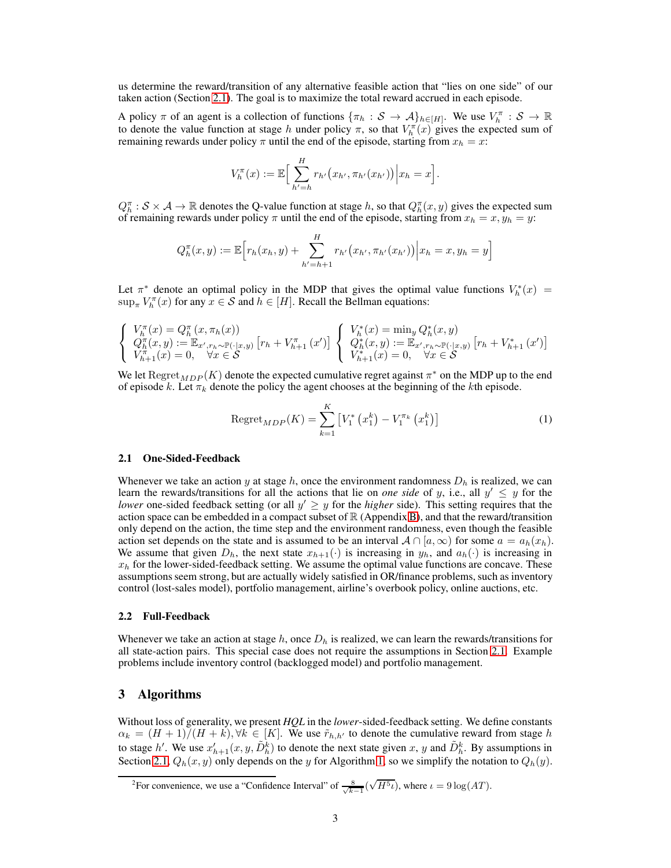us determine the reward/transition of any alternative feasible action that "lies on one side" of our taken action (Section [2.1\)](#page-2-0). The goal is to maximize the total reward accrued in each episode.

A policy  $\pi$  of an agent is a collection of functions  $\{\pi_h : S \to A\}_{h \in [H]}$ . We use  $V_h^{\pi} : S \to \mathbb{R}$ to denote the value function at stage h under policy  $\pi$ , so that  $V_h^{\pi}(x)$  gives the expected sum of remaining rewards under policy  $\pi$  until the end of the episode, starting from  $x_h = x$ :

$$
V_h^{\pi}(x) := \mathbb{E}\Big[\sum_{h'=h}^H r_{h'}(x_{h'}, \pi_{h'}(x_{h'}))\Big| x_h = x\Big].
$$

 $Q_h^{\pi}: \mathcal{S} \times \mathcal{A} \to \mathbb{R}$  denotes the Q-value function at stage h, so that  $Q_h^{\pi}(x, y)$  gives the expected sum of remaining rewards under policy  $\pi$  until the end of the episode, starting from  $x_h = x, y_h = y$ :

$$
Q_h^{\pi}(x, y) := \mathbb{E}\Big[r_h(x_h, y) + \sum_{h'=h+1}^H r_{h'}(x_{h'}, \pi_{h'}(x_{h'}))\Big| x_h = x, y_h = y\Big]
$$

Let  $\pi^*$  denote an optimal policy in the MDP that gives the optimal value functions  $V_h^*(x)$  =  $\sup_{\pi} V_h^{\pi}(x)$  for any  $x \in S$  and  $h \in [H]$ . Recall the Bellman equations:

$$
\begin{cases} V_h^{\pi}(x) = Q_h^{\pi}(x, \pi_h(x)) \\ Q_h^{\pi}(x, y) := \mathbb{E}_{x', r_h \sim \mathbb{P}(\cdot | x, y)} [r_h + V_{h+1}^{\pi}(x')] \\ V_{h+1}^{\pi}(x) = 0, \quad \forall x \in \mathcal{S} \end{cases} \begin{cases} V_h^*(x) = \min_y Q_h^*(x, y) \\ Q_h^*(x, y) := \mathbb{E}_{x', r_h \sim \mathbb{P}(\cdot | x, y)} [r_h + V_{h+1}^*(x')] \\ V_{h+1}^{\pi}(x) = 0, \quad \forall x \in \mathcal{S} \end{cases}
$$

We let  $\mathrm{Regret}_{MDP}(K)$  denote the expected cumulative regret against  $\pi^*$  on the MDP up to the end of episode k. Let  $\pi_k$  denote the policy the agent chooses at the beginning of the kth episode.

Regret<sub>MDP</sub>(K) = 
$$
\sum_{k=1}^{K} \left[ V_1^* \left( x_1^k \right) - V_1^{\pi_k} \left( x_1^k \right) \right]
$$
 (1)

#### <span id="page-2-0"></span>2.1 One-Sided-Feedback

Whenever we take an action y at stage h, once the environment randomness  $D<sub>h</sub>$  is realized, we can learn the rewards/transitions for all the actions that lie on *one side* of y, i.e., all  $y' \leq y$  for the *lower* one-sided feedback setting (or all  $y' \geq y$  for the *higher* side). This setting requires that the action space can be embedded in a compact subset of  $\mathbb R$  (Appendix [B\)](#page-11-0), and that the reward/transition only depend on the action, the time step and the environment randomness, even though the feasible action set depends on the state and is assumed to be an interval  $A \cap [a,\infty)$  for some  $a = a_h(x_h)$ . We assume that given  $D_h$ , the next state  $x_{h+1}(\cdot)$  is increasing in  $y_h$ , and  $a_h(\cdot)$  is increasing in  $x_h$  for the lower-sided-feedback setting. We assume the optimal value functions are concave. These assumptions seem strong, but are actually widely satisfied in OR/finance problems, such as inventory control (lost-sales model), portfolio management, airline's overbook policy, online auctions, etc.

#### 2.2 Full-Feedback

Whenever we take an action at stage  $h$ , once  $D_h$  is realized, we can learn the rewards/transitions for all state-action pairs. This special case does not require the assumptions in Section [2.1.](#page-2-0) Example problems include inventory control (backlogged model) and portfolio management.

## 3 Algorithms

Without loss of generality, we present *HQL* in the *lower*-sided-feedback setting. We define constants  $\alpha_k = (H+1)/(H+k), \forall k \in [K]$ . We use  $\tilde{r}_{h,h'}$  to denote the cumulative reward from stage h to stage h'. We use  $x'_{h+1}(x, y, \tilde{D}_h^k)$  to denote the next state given x, y and  $\tilde{D}_h^k$ . By assumptions in Section [2.1,](#page-2-0)  $Q_h(x, y)$  only depends on the y for Algorithm [1,](#page-3-0) so we simplify the notation to  $Q_h(y)$ .

<span id="page-2-1"></span><sup>2</sup>For convenience, we use a "Confidence Interval" of  $\frac{8}{\sqrt{k-1}}(\sqrt{H^5\iota})$ , where  $\iota = 9\log(AT)$ .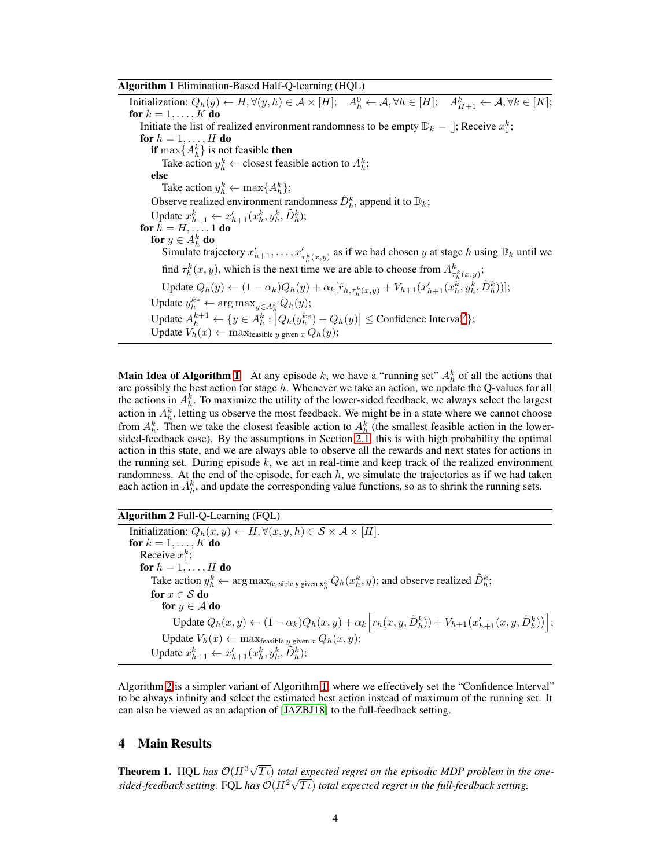#### <span id="page-3-0"></span>Algorithm 1 Elimination-Based Half-Q-learning (HQL)

Initialization:  $Q_h(y) \leftarrow H, \forall (y, h) \in \mathcal{A} \times [H]; \quad A_h^0 \leftarrow \mathcal{A}, \forall h \in [H]; \quad A_{H+1}^k \leftarrow \mathcal{A}, \forall k \in [K];$ for  $k = 1, \ldots, K$  do Initiate the list of realized environment randomness to be empty  $\mathbb{D}_k = []$ ; Receive  $x_1^k$ ; for  $h = 1, \ldots, H$  do **if** max $\{A_h^k\}$  is not feasible **then** Take action  $y_h^k \leftarrow$  closest feasible action to  $A_h^k$ ; else Take action  $y_h^k \leftarrow \max\{A_h^k\};$ Observe realized environment randomness  $\tilde{D}_h^k$ , append it to  $\mathbb{D}_k$ ; Update  $x_{h+1}^k \leftarrow x_{h+1}'(x_h^k, y_h^k, \tilde{D}_h^k);$ for  $h=H,\ldots,1$  do for  $y \in A_h^k$  do Simulate trajectory  $x'_{h+1}, \ldots, x'_{\tau_h^k(x,y)}$  as if we had chosen y at stage h using  $\mathbb{D}_k$  until we find  $\tau_h^k(x, y)$ , which is the next time we are able to choose from  $A_{\tau_h^k(x,y)}^k$ ; Update  $Q_h(y) \leftarrow (1 - \alpha_k) Q_h(y) + \alpha_k [\tilde{r}_{h, \tau_h^k(x, y)} + V_{h+1}(x_{h+1}^{\prime}(x_h^k, y_h^k, \tilde{D}_h^k))]$ ; Update  $y_h^{k*} \leftarrow \arg \max_{y \in A_h^k} Q_h(y);$ Update  $A_h^{k+1} \leftarrow \{y \in A_h^k : |Q_h(y_h^{k*}) - Q_h(y)| \leq \text{Confidence Interval}^2\};$  $A_h^{k+1} \leftarrow \{y \in A_h^k : |Q_h(y_h^{k*}) - Q_h(y)| \leq \text{Confidence Interval}^2\};$  $A_h^{k+1} \leftarrow \{y \in A_h^k : |Q_h(y_h^{k*}) - Q_h(y)| \leq \text{Confidence Interval}^2\};$ Update  $V_h(x) \leftarrow \max_{\text{feasible } y \text{ given } x} Q_h(y);$ 

**Main Idea of Algorithm [1](#page-3-0)** At any episode k, we have a "running set"  $A_h^k$  of all the actions that are possibly the best action for stage  $h$ . Whenever we take an action, we update the Q-values for all the actions in  $A_h^k$ . To maximize the utility of the lower-sided feedback, we always select the largest action in  $A_h^k$ , letting us observe the most feedback. We might be in a state where we cannot choose from  $A_h^k$ . Then we take the closest feasible action to  $A_h^k$  (the smallest feasible action in the lowersided-feedback case). By the assumptions in Section [2.1,](#page-2-0) this is with high probability the optimal action in this state, and we are always able to observe all the rewards and next states for actions in the running set. During episode  $k$ , we act in real-time and keep track of the realized environment randomness. At the end of the episode, for each  $h$ , we simulate the trajectories as if we had taken each action in  $A_h^k$ , and update the corresponding value functions, so as to shrink the running sets.

#### <span id="page-3-1"></span>Algorithm 2 Full-Q-Learning (FQL)

Initialization:  $Q_h(x, y) \leftarrow H, \forall (x, y, h) \in S \times A \times [H].$ for  $k = 1, \ldots, K$  do Receive  $x_1^k$ ; for  $h = 1, \ldots, H$  do Take action  $y_h^k \leftarrow \arg \max_{\text{feasible } y \text{ given } x_h^k} Q_h(x_h^k, y)$ ; and observe realized  $\tilde{D}_h^k$ ; for  $x \in \mathcal{S}$  do for  $y \in A$  do Update  $Q_h(x, y) \leftarrow (1 - \alpha_k) Q_h(x, y) + \alpha_k \left[ r_h(x, y, \tilde{D}_h^k) \right] + V_{h+1} (x'_{h+1}(x, y, \tilde{D}_h^k)) \right];$ Update  $V_h(x) \leftarrow \max_{\text{feasible } y \text{ given } x} Q_h(x, y);$ Update  $x_{h+1}^k \leftarrow x_{h+1}'(x_h^k, y_h^k, \tilde{D}_h^k);$ 

Algorithm [2](#page-3-1) is a simpler variant of Algorithm [1,](#page-3-0) where we effectively set the "Confidence Interval" to be always infinity and select the estimated best action instead of maximum of the running set. It can also be viewed as an adaption of [\[JAZBJ18\]](#page-9-2) to the full-feedback setting.

#### 4 Main Results

<span id="page-3-2"></span>**Theorem 1.** HQL has  $\mathcal{O}(H^3\sqrt{T_t})$  total expected regret on the episodic MDP problem in the one $s$ ided-feedback setting. FQL *has*  $O(H^2\sqrt{T}t)$  *total expected regret in the full-feedback setting.*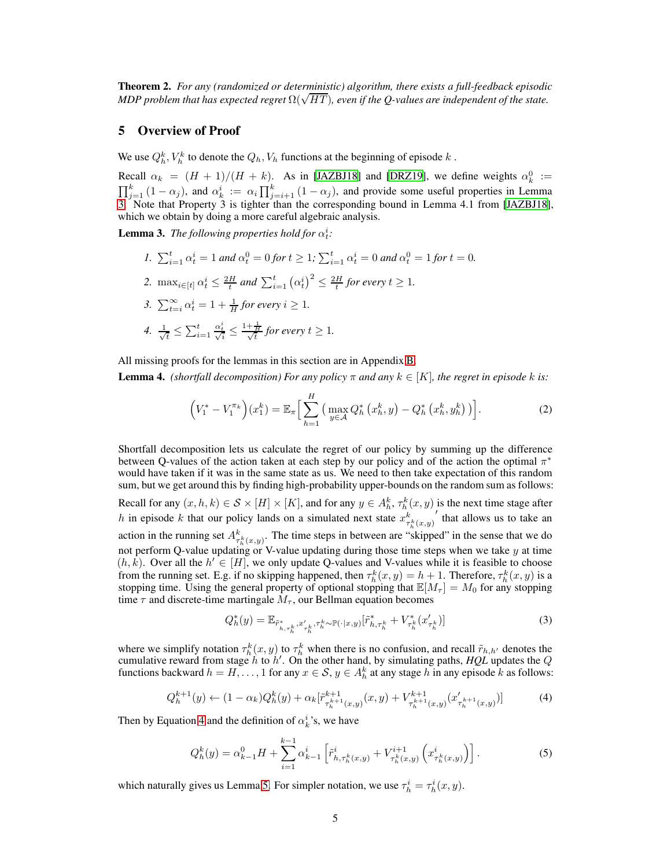<span id="page-4-3"></span>Theorem 2. *For any (randomized or deterministic) algorithm, there exists a full-feedback episodic MDP problem that has expected regret* Ω( $\sqrt{HT}$ ), even if the *Q*-values are independent of the state.

#### 5 Overview of Proof

We use  $Q_h^k$ ,  $V_h^k$  to denote the  $Q_h$ ,  $V_h$  functions at the beginning of episode  $k$ .

Recall  $\alpha_k = (H + 1)/(H + k)$ . As in [\[JAZBJ18](#page-9-2)] and [\[DRZ19\]](#page-9-3), we define weights  $\alpha_k^0 :=$  $\prod_{j=1}^{k} (1 - \alpha_j)$ , and  $\alpha_k^i := \alpha_i \prod_{j=i+1}^{k} (1 - \alpha_j)$ , and provide some useful properties in Lemma [3.](#page-4-0) Note that Property 3 is tighter than the corresponding bound in Lemma 4.1 from [\[JAZBJ18\]](#page-9-2), which we obtain by doing a more careful algebraic analysis.

**Lemma 3.** The following properties hold for  $\alpha_t^i$ :

*1.*  $\sum_{i=1}^{t} \alpha_t^i = 1$  *and*  $\alpha_t^0 = 0$  *for*  $t \geq 1$ ;  $\sum_{i=1}^{t} \alpha_t^i = 0$  *and*  $\alpha_t^0 = 1$  *for*  $t = 0$ *.* 2.  $\max_{i \in [t]} \alpha_i^i \leq \frac{2H}{t}$  and  $\sum_{i=1}^t (\alpha_i^i)^2 \leq \frac{2H}{t}$  for every  $t \geq 1$ . 3.  $\sum_{t=i}^{\infty} \alpha_t^i = 1 + \frac{1}{H}$  for every  $i \geq 1$ . 4.  $\frac{1}{\sqrt{2}}$  $\frac{1}{t} \leq \sum_{i=1}^t$  $\frac{\alpha^i_t}{\sqrt{i}} \leq \frac{1+\frac{1}{H}}{\sqrt{t}}$  for every  $t \geq 1$ .

<span id="page-4-0"></span>All missing proofs for the lemmas in this section are in Appendix [B.](#page-11-0)

**Lemma 4.** *(shortfall decomposition) For any policy*  $\pi$  *and any*  $k \in [K]$ *, the regret in episode* k *is:* 

<span id="page-4-2"></span>
$$
\left(V_1^* - V_1^{\pi_k}\right)(x_1^k) = \mathbb{E}_{\pi} \Big[ \sum_{h=1}^H \big( \max_{y \in \mathcal{A}} Q_h^* \left(x_h^k, y\right) - Q_h^* \left(x_h^k, y_h^k\right) \big) \Big]. \tag{2}
$$

Shortfall decomposition lets us calculate the regret of our policy by summing up the difference between Q-values of the action taken at each step by our policy and of the action the optimal  $\pi^*$ would have taken if it was in the same state as us. We need to then take expectation of this random sum, but we get around this by finding high-probability upper-bounds on the random sum as follows: Recall for any  $(x, h, k) \in S \times [H] \times [K]$ , and for any  $y \in A_h^k$ ,  $\tau_h^k(x, y)$  is the next time stage after h in episode k that our policy lands on a simulated next state  $x_{\tau_h^k(x,y)}^k'$  that allows us to take an action in the running set  $A^k_{\tau^k_h(x,y)}$ . The time steps in between are "skipped" in the sense that we do not perform Q-value updating or V-value updating during those time steps when we take  $y$  at time  $(h, k)$ . Over all the  $h' \in [H]$ , we only update Q-values and V-values while it is feasible to choose from the running set. E.g. if no skipping happened, then  $\tau_h^k(x, y) = h + 1$ . Therefore,  $\tau_h^k(x, y)$  is a stopping time. Using the general property of optional stopping that  $\mathbb{E}[M_{\tau}] = M_0$  for any stopping time  $\tau$  and discrete-time martingale  $M_{\tau}$ , our Bellman equation becomes

<span id="page-4-5"></span><span id="page-4-4"></span>
$$
Q_h^*(y) = \mathbb{E}_{\tilde{r}_{h,\tau_h^k}^*, x_{\tau_h^k}, \tau_h^k \sim \mathbb{P}(\cdot | x, y)} [\tilde{r}_{h,\tau_h^k}^* + V_{\tau_h^k}^*(x_{\tau_h^k}')] \tag{3}
$$

where we simplify notation  $\tau_h^k(x, y)$  to  $\tau_h^k$  when there is no confusion, and recall  $\tilde{r}_{h,h'}$  denotes the cumulative reward from stage h to h ′ . On the other hand, by simulating paths, *HQL* updates the Q functions backward  $h = H, \dots, 1$  for any  $x \in S$ ,  $y \in A_h^k$  at any stage h in any episode k as follows:

$$
Q_h^{k+1}(y) \leftarrow (1 - \alpha_k) Q_h^k(y) + \alpha_k [\tilde{r}_{\tau_h^{k+1}(x,y)}^{k+1}(x,y) + V_{\tau_h^{k+1}(x,y)}^{k+1}(x_{\tau_h^{k+1}(x,y)})] \tag{4}
$$

<span id="page-4-1"></span>Then by Equation [4](#page-4-1) and the definition of  $\alpha_k^i$ 's, we have

$$
Q_h^k(y) = \alpha_{k-1}^0 H + \sum_{i=1}^{k-1} \alpha_{k-1}^i \left[ \tilde{r}_{h,\tau_h^k(x,y)}^i + V_{\tau_h^k(x,y)}^{i+1} \left( x_{\tau_h^k(x,y)}^i \right) \right]. \tag{5}
$$

which naturally gives us Lemma [5.](#page-5-0) For simpler notation, we use  $\tau_h^i = \tau_h^i(x, y)$ .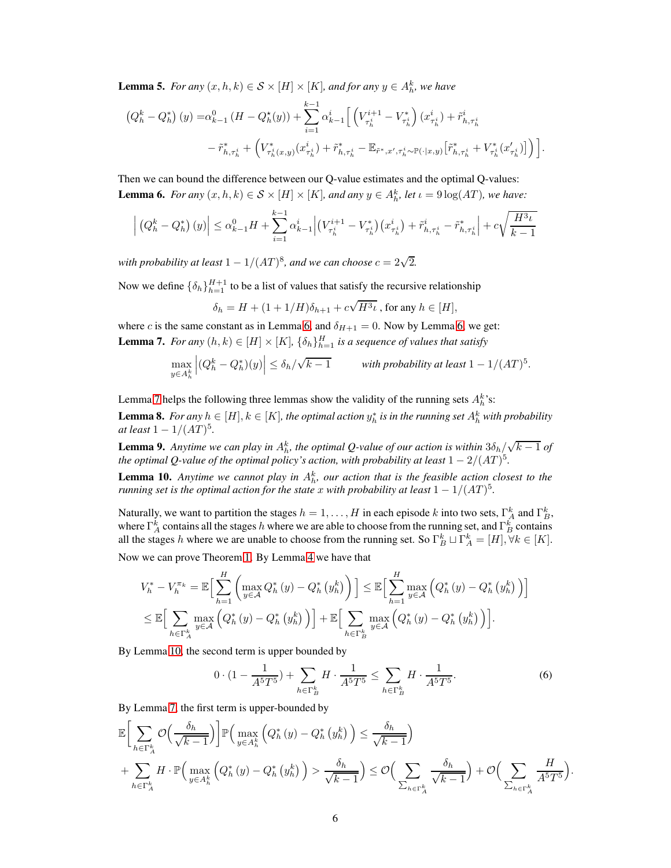<span id="page-5-0"></span>**Lemma 5.** *For any*  $(x, h, k) \in S \times [H] \times [K]$ , and for any  $y \in A_h^k$ , we have

$$
\begin{split} \left(Q_h^k - Q_h^*\right)(y) =& \alpha_{k-1}^0 \left( H - Q_h^{\star}(y) \right) + \sum_{i=1}^{k-1} \alpha_{k-1}^i \Big[ \left( V_{\tau_h^i}^{i+1} - V_{\tau_h^i}^* \right) (x_{\tau_h^i}^i) + \tilde{r}_{h,\tau_h^i}^i \\ &- \tilde{r}_{h,\tau_h^i}^* + \left( V_{\tau_h^i(x,y)}^*(x_{\tau_h^i}^i) + \tilde{r}_{h,\tau_h^i}^* - \mathbb{E}_{\tilde{r}^*,x',\tau_h^i \sim \mathbb{P}(\cdot|x,y)} \big[ \tilde{r}_{h,\tau_h^i}^* + V_{\tau_h^i}^*(x_{\tau_h^i}^*) \big] \right) \Big]. \end{split}
$$

<span id="page-5-1"></span>Then we can bound the difference between our Q-value estimates and the optimal Q-values: **Lemma 6.** *For any*  $(x, h, k) \in S \times [H] \times [K]$ *, and any*  $y \in A_h^k$ *, let*  $\iota = 9 \log(AT)$ *, we have:* 

$$
\left| \left( Q_h^k - Q_h^* \right) (y) \right| \leq \alpha_{k-1}^0 H + \sum_{i=1}^{k-1} \alpha_{k-1}^i \left| \left( V_{\tau_h^i}^{i+1} - V_{\tau_h^i}^* \right) \left( x_{\tau_h^i}^i \right) + \tilde{r}_{h,\tau_h^i}^i - \tilde{r}_{h,\tau_h^i}^* \right| + c \sqrt{\frac{H^3 \iota}{k-1}}
$$

with probability at least  $1 - 1/(AT)^8$ , and we can choose  $c = 2\sqrt{2}$ .

Now we define  $\{\delta_h\}_{h=1}^{H+1}$  to be a list of values that satisfy the recursive relationship

$$
\delta_h = H + (1 + 1/H)\delta_{h+1} + c\sqrt{H^3\iota}
$$
, for any  $h \in [H]$ ,

<span id="page-5-2"></span>where c is the same constant as in Lemma [6,](#page-5-1) and  $\delta_{H+1} = 0$ . Now by Lemma 6, we get: **Lemma 7.** *For any*  $(h, k) \in [H] \times [K]$ ,  $\{\delta_h\}_{h=1}^H$  *is a sequence of values that satisfy* 

$$
\max_{y \in A_h^k} \left| (Q_h^k - Q_h^*)(y) \right| \le \delta_h/\sqrt{k-1} \qquad \text{with probability at least } 1 - 1/(AT)^5.
$$

<span id="page-5-5"></span>Lemma [7](#page-5-2) helps the following three lemmas show the validity of the running sets  $A_h^k$ 's: **Lemma 8.** For any  $h \in [H], k \in [K]$ , the optimal action  $y_h^*$  is in the running set  $A_h^k$  with probability  $at$  *least*  $1 - 1/(AT)^5$ .

<span id="page-5-4"></span>**Lemma 9.** Anytime we can play in  $A_h^k$ , the optimal Q-value of our action is within  $3\delta_h/\sqrt{k-1}$  of *the optimal Q-value of the optimal policy's action, with probability at least*  $1 - 2/(AT)^5$ .

<span id="page-5-3"></span>**Lemma 10.** Anytime we cannot play in  $A_k^k$ , our action that is the feasible action closest to the *running set is the optimal action for the state*  $x$  *with probability at least*  $1 - 1/(AT)^5$ .

Naturally, we want to partition the stages  $h = 1, ..., H$  in each episode k into two sets,  $\Gamma_A^k$  and  $\Gamma_B^k$ , where  $\Gamma_A^k$  contains all the stages h where we are able to choose from the running set, and  $\Gamma_B^k$  contains all the stages h where we are unable to choose from the running set. So  $\Gamma_B^k \sqcup \Gamma_A^k = [H], \forall k \in [K]$ .

Now we can prove Theorem [1.](#page-3-2) By Lemma [4](#page-4-2) we have that

$$
V_{h}^{*} - V_{h}^{\pi_{k}} = \mathbb{E}\Big[\sum_{h=1}^{H} \left( \max_{y \in A} Q_{h}^{*}(y) - Q_{h}^{*}(y_{h}^{k}) \right) \Big] \leq \mathbb{E}\Big[\sum_{h=1}^{H} \max_{y \in A} \left( Q_{h}^{*}(y) - Q_{h}^{*}(y_{h}^{k}) \right) \Big] \leq \mathbb{E}\Big[\sum_{h \in \Gamma_{A}^{k}} \max_{y \in A} \left( Q_{h}^{*}(y) - Q_{h}^{*}(y_{h}^{k}) \right) \Big] + \mathbb{E}\Big[\sum_{h \in \Gamma_{B}^{k}} \max_{y \in A} \left( Q_{h}^{*}(y) - Q_{h}^{*}(y_{h}^{k}) \right) \Big].
$$

By Lemma [10,](#page-5-3) the second term is upper bounded by

$$
0 \cdot (1 - \frac{1}{A^5 T^5}) + \sum_{h \in \Gamma_B^k} H \cdot \frac{1}{A^5 T^5} \le \sum_{h \in \Gamma_B^k} H \cdot \frac{1}{A^5 T^5}.
$$
 (6)

.

By Lemma [7,](#page-5-2) the first term is upper-bounded by

$$
\mathbb{E}\bigg[\sum_{h\in\Gamma_{A}^{k}}\mathcal{O}\Big(\frac{\delta_{h}}{\sqrt{k-1}}\Big)\bigg]\mathbb{P}\Big(\max_{y\in A_{h}^{k}}\Big(Q_{h}^{*}\left(y\right)-Q_{h}^{*}\left(y_{h}^{k}\right)\Big)\leq\frac{\delta_{h}}{\sqrt{k-1}}\Big) \n+\sum_{h\in\Gamma_{A}^{k}}H\cdot\mathbb{P}\Big(\max_{y\in A_{h}^{k}}\Big(Q_{h}^{*}\left(y\right)-Q_{h}^{*}\left(y_{h}^{k}\right)\Big)>\frac{\delta_{h}}{\sqrt{k-1}}\Big)\leq\mathcal{O}\Big(\sum_{\sum_{h\in\Gamma_{A}^{k}}}\frac{\delta_{h}}{\sqrt{k-1}}\Big)+\mathcal{O}\Big(\sum_{\sum_{h\in\Gamma_{A}^{k}}}\frac{H}{A^{5}T^{5}}\Big)
$$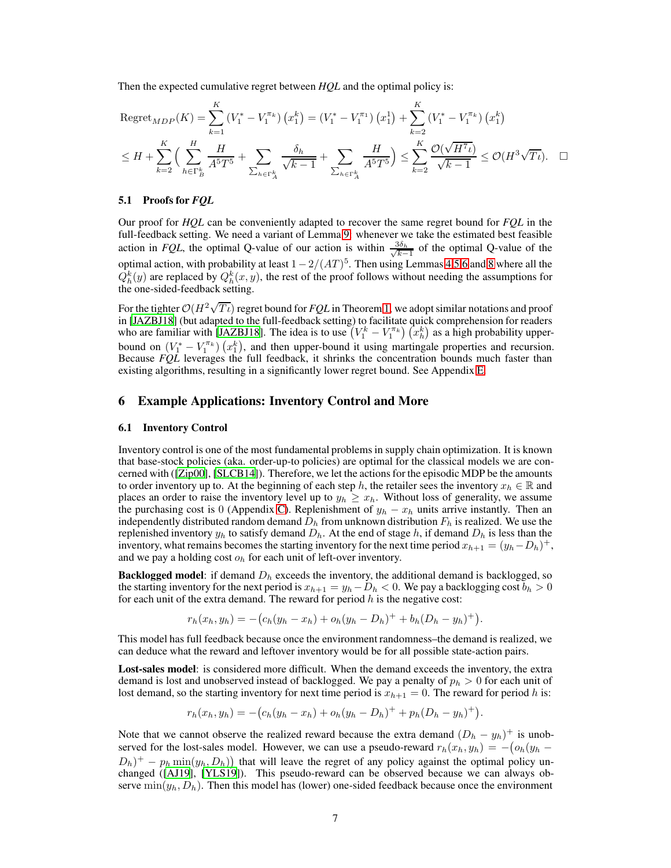Then the expected cumulative regret between *HQL* and the optimal policy is:

Regret<sub>MDP</sub>(K) = 
$$
\sum_{k=1}^{K} (V_1^* - V_1^{\pi_k}) (x_1^k) = (V_1^* - V_1^{\pi_1}) (x_1^1) + \sum_{k=2}^{K} (V_1^* - V_1^{\pi_k}) (x_1^k)
$$
  
\n $\leq H + \sum_{k=2}^{K} \left( \sum_{h \in \Gamma_B^k} \frac{H}{A^5 T^5} + \sum_{\sum_{h \in \Gamma_A^k}} \frac{\delta_h}{\sqrt{k-1}} + \sum_{\sum_{h \in \Gamma_A^k}} \frac{H}{A^5 T^5} \right) \leq \sum_{k=2}^{K} \frac{\mathcal{O}(\sqrt{H^7 \iota})}{\sqrt{k-1}} \leq \mathcal{O}(H^3 \sqrt{T \iota}).$ 

#### 5.1 Proofs for *FQL*

Our proof for *HQL* can be conveniently adapted to recover the same regret bound for *FQL* in the full-feedback setting. We need a variant of Lemma [9:](#page-5-4) whenever we take the estimated best feasible action in *FQL*, the optimal Q-value of our action is within  $\frac{3\delta_h}{\sqrt{h}}$  $\frac{\delta \delta_h}{k-1}$  of the optimal Q-value of the optimal action, with probability at least  $1 - 2/(AT)^5$ . Then using Lemmas [4](#page-4-2)[,5](#page-5-0)[,6](#page-5-1) and [8](#page-5-5) where all the  $Q_h^k(y)$  are replaced by  $Q_h^k(x, y)$ , the rest of the proof follows without needing the assumptions for the one-sided-feedback setting.

For the tighter  $\mathcal{O}(H^2\sqrt{T_t})$  regret bound for *FQL* in Theorem [1,](#page-3-2) we adopt similar notations and proof in [\[JAZBJ18](#page-9-2)] (but adapted to the full-feedback setting) to facilitate quick comprehension for readers who are familiar with [\[JAZBJ18](#page-9-2)]. The idea is to use  $(V_1^k - V_1^{\pi_k}) (x_h^k)$  as a high probability upperbound on  $(V_1^* - V_1^{\pi_k}) (x_1^k)$ , and then upper-bound it using martingale properties and recursion. Because *FQL* leverages the full feedback, it shrinks the concentration bounds much faster than existing algorithms, resulting in a significantly lower regret bound. See Appendix [E.](#page-15-0)

## <span id="page-6-0"></span>6 Example Applications: Inventory Control and More

#### 6.1 Inventory Control

Inventory control is one of the most fundamental problems in supply chain optimization. It is known that base-stock policies (aka. order-up-to policies) are optimal for the classical models we are concerned with ([\[Zip00\]](#page-10-1), [\[SLCB14\]](#page-9-11)). Therefore, we let the actions for the episodic MDP be the amounts to order inventory up to. At the beginning of each step h, the retailer sees the inventory  $x_h \in \mathbb{R}$  and places an order to raise the inventory level up to  $y_h \geq x_h$ . Without loss of generality, we assume the purchasing cost is 0 (Appendix [C\)](#page-14-0). Replenishment of  $y_h - x_h$  units arrive instantly. Then an independently distributed random demand  $D_h$  from unknown distribution  $F_h$  is realized. We use the replenished inventory  $y_h$  to satisfy demand  $D_h$ . At the end of stage h, if demand  $D_h$  is less than the inventory, what remains becomes the starting inventory for the next time period  $x_{h+1} = (y_h - D_h)^+$ , and we pay a holding cost  $o_h$  for each unit of left-over inventory.

**Backlogged model:** if demand  $D<sub>h</sub>$  exceeds the inventory, the additional demand is backlogged, so the starting inventory for the next period is  $x_{h+1} = y_h - D_h < 0$ . We pay a backlogging cost  $b_h > 0$ for each unit of the extra demand. The reward for period  $h$  is the negative cost:

$$
r_h(x_h, y_h) = -(c_h(y_h - x_h) + o_h(y_h - D_h)^+ + b_h(D_h - y_h)^+).
$$

This model has full feedback because once the environment randomness–the demand is realized, we can deduce what the reward and leftover inventory would be for all possible state-action pairs.

Lost-sales model: is considered more difficult. When the demand exceeds the inventory, the extra demand is lost and unobserved instead of backlogged. We pay a penalty of  $p_h > 0$  for each unit of lost demand, so the starting inventory for next time period is  $x_{h+1} = 0$ . The reward for period h is:

$$
r_h(x_h, y_h) = -(c_h(y_h - x_h) + o_h(y_h - D_h)^+ + p_h(D_h - y_h)^+).
$$

Note that we cannot observe the realized reward because the extra demand  $(D_h - y_h)^+$  is unobserved for the lost-sales model. However, we can use a pseudo-reward  $r_h(x_h, y_h) = -\left(\partial_h(y_h - \partial_x\right)g_h(y_h - \partial_x\partial_x\right)$  $(D_h)^+ - p_h \min(y_h, D_h)$  that will leave the regret of any policy against the optimal policy unchanged ([\[AJ19](#page-9-12)], [\[YLS19\]](#page-9-13)). This pseudo-reward can be observed because we can always observe  $\min(y_h, D_h)$ . Then this model has (lower) one-sided feedback because once the environment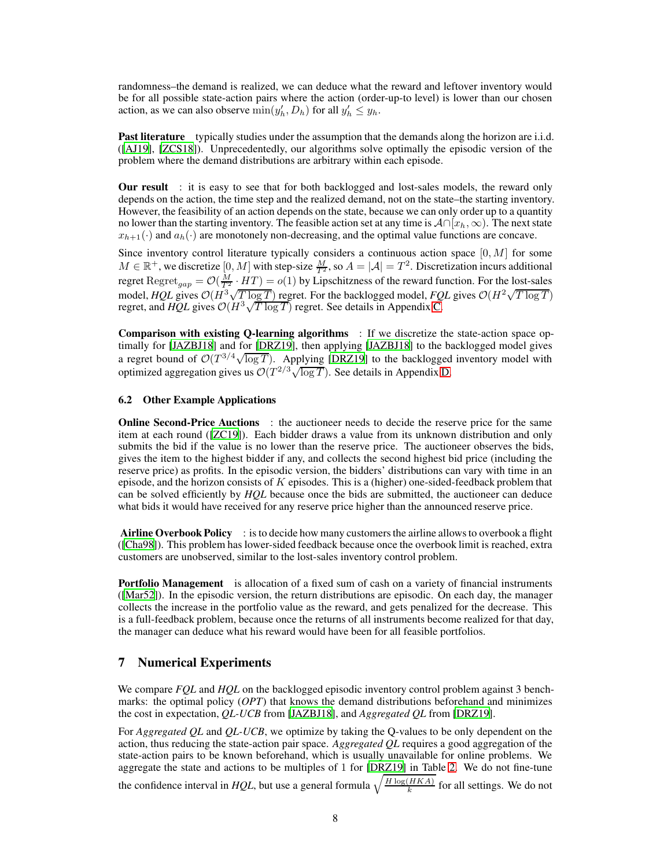randomness–the demand is realized, we can deduce what the reward and leftover inventory would be for all possible state-action pairs where the action (order-up-to level) is lower than our chosen action, as we can also observe  $\min(y'_h, D_h)$  for all  $y'_h \leq y_h$ .

Past literature typically studies under the assumption that the demands along the horizon are i.i.d. ([\[AJ19](#page-9-12)], [\[ZCS18\]](#page-10-2)). Unprecedentedly, our algorithms solve optimally the episodic version of the problem where the demand distributions are arbitrary within each episode.

**Our result** : it is easy to see that for both backlogged and lost-sales models, the reward only depends on the action, the time step and the realized demand, not on the state–the starting inventory. However, the feasibility of an action depends on the state, because we can only order up to a quantity no lower than the starting inventory. The feasible action set at any time is  $\mathcal{A} \cap [x_h, \infty)$ . The next state  $x_{h+1}(\cdot)$  and  $a_h(\cdot)$  are monotonely non-decreasing, and the optimal value functions are concave.

Since inventory control literature typically considers a continuous action space  $[0, M]$  for some  $M \in \mathbb{R}^+$ , we discretize  $[0, M]$  with step-size  $\frac{M}{T^2}$ , so  $A = |\mathcal{A}| = T^2$ . Discretization incurs additional regret  $\text{Regret}_{gap} = \mathcal{O}(\frac{M}{T^2} \cdot HT) = o(1)$  by Lipschitzness of the reward function. For the lost-sales model,  $HQL$  gives  $O(H^3 \sqrt{T \log T})$  regret. For the backlogged model,  $FQL$  gives  $O(H^2 \sqrt{T \log T})$ regret, and *HQL* gives  $\mathcal{O}(H^3 \sqrt{T \log T})$  regret. See details in Appendix [C.](#page-14-0)

Comparison with existing Q-learning algorithms : If we discretize the state-action space optimally for [\[JAZBJ18\]](#page-9-2) and for [\[DRZ19](#page-9-3)], then applying [\[JAZBJ18\]](#page-9-2) to the backlogged model gives a regret bound of  $\mathcal{O}(T^{3/4}\sqrt{\log T})$ . Applying [\[DRZ19\]](#page-9-3) to the backlogged inventory model with optimized aggregation gives us  $\mathcal{O}(T^{2/3}\sqrt{\log T})$ . See details in Appendix [D.](#page-15-1)

#### 6.2 Other Example Applications

Online Second-Price Auctions : the auctioneer needs to decide the reserve price for the same item at each round ([\[ZC19](#page-10-0)]). Each bidder draws a value from its unknown distribution and only submits the bid if the value is no lower than the reserve price. The auctioneer observes the bids, gives the item to the highest bidder if any, and collects the second highest bid price (including the reserve price) as profits. In the episodic version, the bidders' distributions can vary with time in an episode, and the horizon consists of  $K$  episodes. This is a (higher) one-sided-feedback problem that can be solved efficiently by *HQL* because once the bids are submitted, the auctioneer can deduce what bids it would have received for any reserve price higher than the announced reserve price.

Airline Overbook Policy : is to decide how many customers the airline allows to overbook a flight ([\[Cha98\]](#page-9-14)). This problem has lower-sided feedback because once the overbook limit is reached, extra customers are unobserved, similar to the lost-sales inventory control problem.

Portfolio Management is allocation of a fixed sum of cash on a variety of financial instruments ([\[Mar52\]](#page-9-15)). In the episodic version, the return distributions are episodic. On each day, the manager collects the increase in the portfolio value as the reward, and gets penalized for the decrease. This is a full-feedback problem, because once the returns of all instruments become realized for that day, the manager can deduce what his reward would have been for all feasible portfolios.

## <span id="page-7-0"></span>7 Numerical Experiments

We compare *FQL* and *HQL* on the backlogged episodic inventory control problem against 3 benchmarks: the optimal policy (*OPT*) that knows the demand distributions beforehand and minimizes the cost in expectation, *QL-UCB* from [\[JAZBJ18\]](#page-9-2), and *Aggregated QL* from [\[DRZ19\]](#page-9-3).

For *Aggregated QL* and *QL-UCB*, we optimize by taking the Q-values to be only dependent on the action, thus reducing the state-action pair space. *Aggregated QL* requires a good aggregation of the state-action pairs to be known beforehand, which is usually unavailable for online problems. We aggregate the state and actions to be multiples of 1 for [\[DRZ19\]](#page-9-3) in Table [2.](#page-8-1) We do not fine-tune the confidence interval in *HQL*, but use a general formula  $\sqrt{\frac{H \log(HKA)}{k}}$  $\frac{HKA}{k}$  for all settings. We do not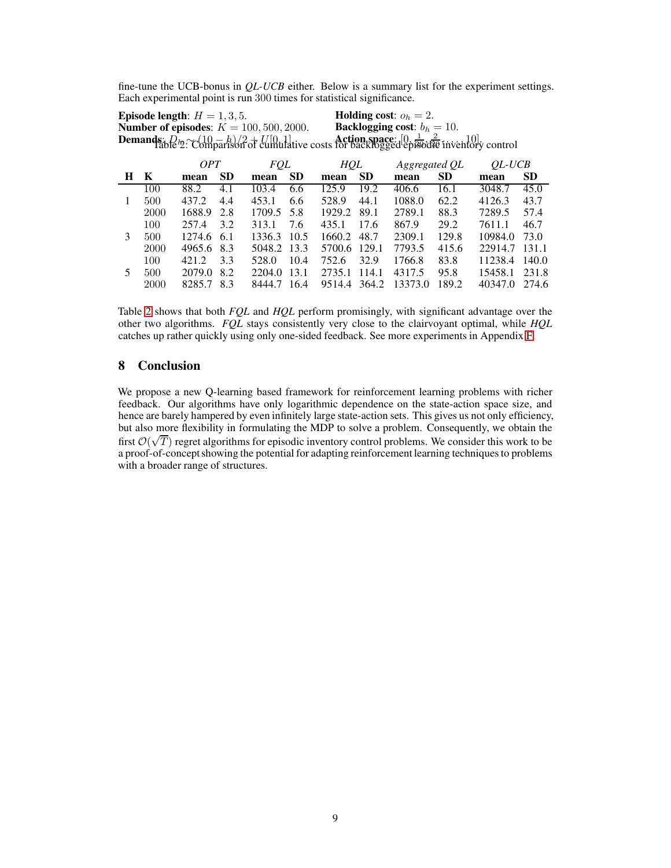fine-tune the UCB-bonus in *QL-UCB* either. Below is a summary list for the experiment settings. Each experimental point is run 300 times for statistical significance.

| <b>Episode length:</b> $H = 1, 3, 5$ .                                                                         | <b>Holding cost:</b> $o_h = 2$ .      |
|----------------------------------------------------------------------------------------------------------------|---------------------------------------|
| <b>Number of episodes:</b> $K = 100, 500, 2000$ .                                                              | <b>Backlogging cost:</b> $b_h = 10$ . |
| <b>Demands:</b> $Q_2 \sim \frac{(10-h)}{2} + U[0,1]$<br>lative costs for backlogged episodie inventory control |                                       |
|                                                                                                                |                                       |

<span id="page-8-1"></span>

|   |      | <i>OPT</i> |           | <i>FOL</i>  |           | HQL          |           | Aggregated QL |           | $QL-UCB$ |           |
|---|------|------------|-----------|-------------|-----------|--------------|-----------|---------------|-----------|----------|-----------|
| H | K    | mean       | <b>SD</b> | mean        | <b>SD</b> | mean         | <b>SD</b> | mean          | <b>SD</b> | mean     | <b>SD</b> |
|   | 100  | 88.2       | 4.1       | 103.4       | 6.6       | 125.9        | 19.2      | 406.6         | 16.1      | 3048.7   | 45.0      |
|   | 500  | 437.2      | 4.4       | 453.1       | 6.6       | 528.9        | 44.1      | 1088.0        | 62.2      | 4126.3   | 43.7      |
|   | 2000 | 1688.9     | 2.8       | 1709.5 5.8  |           | 1929.2       | 89.1      | 2789.1        | 88.3      | 7289.5   | 57.4      |
|   | 100  | 257.4      | 3.2       | 313.1       | 7.6       | 435.1        | 17.6      | 867.9         | 29.2      | 7611.1   | 46.7      |
| 3 | 500  | 1274.6 6.1 |           | 1336.3 10.5 |           | 1660.2       | 48.7      | 2309.1        | 129.8     | 10984.0  | 73.0      |
|   | 2000 | 4965.6 8.3 |           | 5048.2 13.3 |           | 5700.6 129.1 |           | 7793.5        | 415.6     | 22914.7  | 131.1     |
|   | 100  | 421.2      | 3.3       | 528.0       | 10.4      | 752.6        | 32.9      | 1766.8        | 83.8      | 11238.4  | 140.0     |
| 5 | 500  | 2079.0     | 8.2       | 2204.0      | 13.1      | 2735.1       | 114.1     | 4317.5        | 95.8      | 15458.1  | 231.8     |
|   | 2000 | 8285.7     | 8.3       | 8444.7      | 16.4      | 9514.4       | 364.2     | 13373.0       | 189.2     | 40347.0  | 274.6     |

Table [2](#page-8-1) shows that both *FQL* and *HQL* perform promisingly, with significant advantage over the other two algorithms. *FQL* stays consistently very close to the clairvoyant optimal, while *HQL* catches up rather quickly using only one-sided feedback. See more experiments in Appendix [F.](#page-18-0)

## <span id="page-8-0"></span>8 Conclusion

We propose a new Q-learning based framework for reinforcement learning problems with richer feedback. Our algorithms have only logarithmic dependence on the state-action space size, and hence are barely hampered by even infinitely large state-action sets. This gives us not only efficiency, but also more flexibility in formulating the MDP to solve a problem. Consequently, we obtain the first  $O(\sqrt{T})$  regret algorithms for episodic inventory control problems. We consider this work to be a proof-of-concept showing the potential for adapting reinforcement learning techniques to problems with a broader range of structures.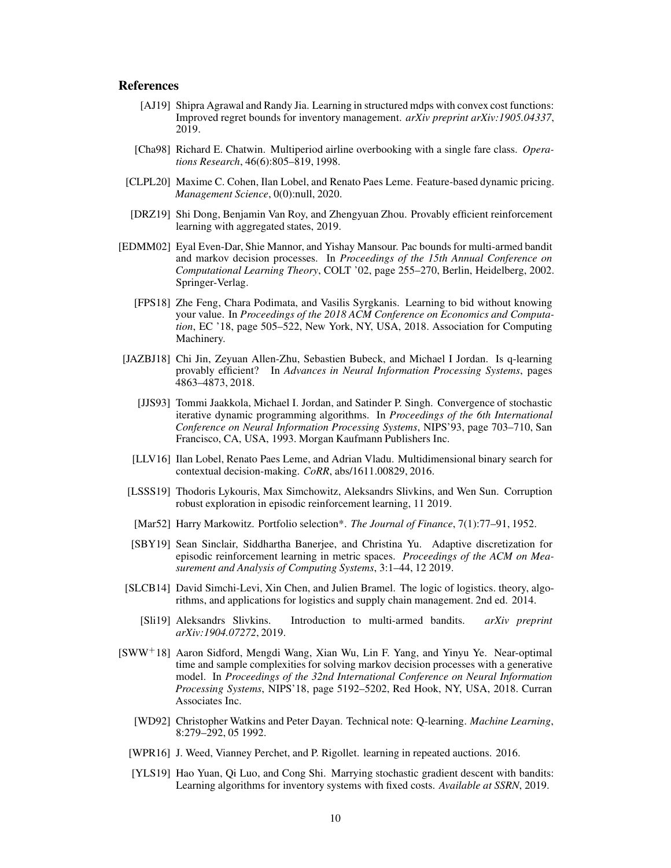## References

- <span id="page-9-12"></span>[AJ19] Shipra Agrawal and Randy Jia. Learning in structured mdps with convex cost functions: Improved regret bounds for inventory management. *arXiv preprint arXiv:1905.04337*, 2019.
- <span id="page-9-14"></span>[Cha98] Richard E. Chatwin. Multiperiod airline overbooking with a single fare class. *Operations Research*, 46(6):805–819, 1998.
- <span id="page-9-6"></span>[CLPL20] Maxime C. Cohen, Ilan Lobel, and Renato Paes Leme. Feature-based dynamic pricing. *Management Science*, 0(0):null, 2020.
- <span id="page-9-3"></span>[DRZ19] Shi Dong, Benjamin Van Roy, and Zhengyuan Zhou. Provably efficient reinforcement learning with aggregated states, 2019.
- <span id="page-9-8"></span><span id="page-9-5"></span>[EDMM02] Eyal Even-Dar, Shie Mannor, and Yishay Mansour. Pac bounds for multi-armed bandit and markov decision processes. In *Proceedings of the 15th Annual Conference on Computational Learning Theory*, COLT '02, page 255–270, Berlin, Heidelberg, 2002. Springer-Verlag.
	- [FPS18] Zhe Feng, Chara Podimata, and Vasilis Syrgkanis. Learning to bid without knowing your value. In *Proceedings of the 2018 ACM Conference on Economics and Computation*, EC '18, page 505–522, New York, NY, USA, 2018. Association for Computing Machinery.
- <span id="page-9-2"></span><span id="page-9-1"></span>[JAZBJ18] Chi Jin, Zeyuan Allen-Zhu, Sebastien Bubeck, and Michael I Jordan. Is q-learning provably efficient? In *Advances in Neural Information Processing Systems*, pages 4863–4873, 2018.
	- [JJS93] Tommi Jaakkola, Michael I. Jordan, and Satinder P. Singh. Convergence of stochastic iterative dynamic programming algorithms. In *Proceedings of the 6th International Conference on Neural Information Processing Systems*, NIPS'93, page 703–710, San Francisco, CA, USA, 1993. Morgan Kaufmann Publishers Inc.
	- [LLV16] Ilan Lobel, Renato Paes Leme, and Adrian Vladu. Multidimensional binary search for contextual decision-making. *CoRR*, abs/1611.00829, 2016.
- <span id="page-9-9"></span><span id="page-9-7"></span>[LSSS19] Thodoris Lykouris, Max Simchowitz, Aleksandrs Slivkins, and Wen Sun. Corruption robust exploration in episodic reinforcement learning, 11 2019.
- <span id="page-9-15"></span>[Mar52] Harry Markowitz. Portfolio selection\*. *The Journal of Finance*, 7(1):77–91, 1952.
- <span id="page-9-10"></span>[SBY19] Sean Sinclair, Siddhartha Banerjee, and Christina Yu. Adaptive discretization for episodic reinforcement learning in metric spaces. *Proceedings of the ACM on Measurement and Analysis of Computing Systems*, 3:1–44, 12 2019.
- <span id="page-9-16"></span><span id="page-9-11"></span>[SLCB14] David Simchi-Levi, Xin Chen, and Julien Bramel. The logic of logistics. theory, algorithms, and applications for logistics and supply chain management. 2nd ed. 2014.
	- [Sli19] Aleksandrs Slivkins. Introduction to multi-armed bandits. *arXiv preprint arXiv:1904.07272*, 2019.
- <span id="page-9-13"></span><span id="page-9-4"></span><span id="page-9-0"></span>[SWW+18] Aaron Sidford, Mengdi Wang, Xian Wu, Lin F. Yang, and Yinyu Ye. Near-optimal time and sample complexities for solving markov decision processes with a generative model. In *Proceedings of the 32nd International Conference on Neural Information Processing Systems*, NIPS'18, page 5192–5202, Red Hook, NY, USA, 2018. Curran Associates Inc.
	- [WD92] Christopher Watkins and Peter Dayan. Technical note: Q-learning. *Machine Learning*, 8:279–292, 05 1992.
	- [WPR16] J. Weed, Vianney Perchet, and P. Rigollet. learning in repeated auctions. 2016.
	- [YLS19] Hao Yuan, Qi Luo, and Cong Shi. Marrying stochastic gradient descent with bandits: Learning algorithms for inventory systems with fixed costs. *Available at SSRN*, 2019.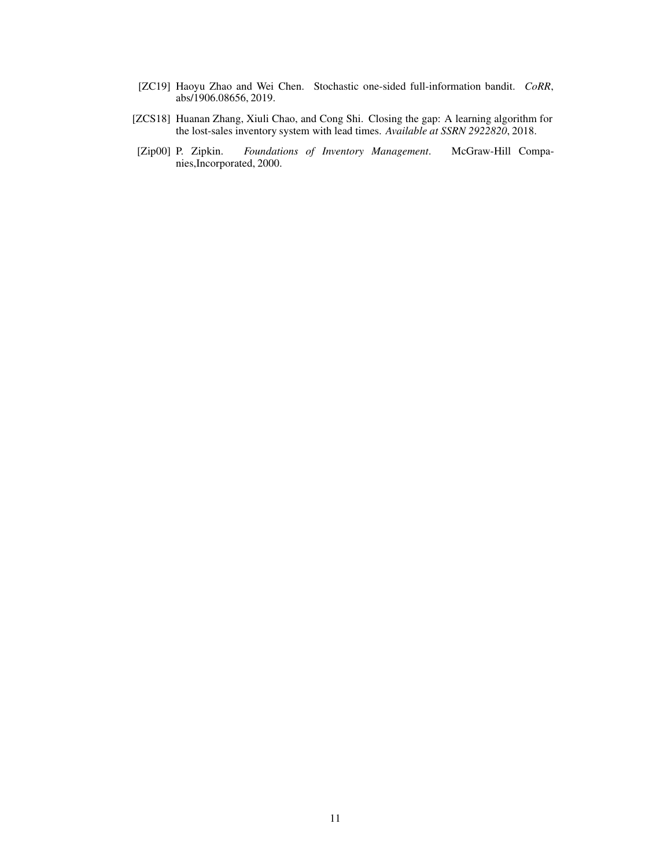- <span id="page-10-0"></span>[ZC19] Haoyu Zhao and Wei Chen. Stochastic one-sided full-information bandit. *CoRR*, abs/1906.08656, 2019.
- <span id="page-10-2"></span>[ZCS18] Huanan Zhang, Xiuli Chao, and Cong Shi. Closing the gap: A learning algorithm for the lost-sales inventory system with lead times. *Available at SSRN 2922820*, 2018.
- <span id="page-10-1"></span>[Zip00] P. Zipkin. *Foundations of Inventory Management*. McGraw-Hill Companies,Incorporated, 2000.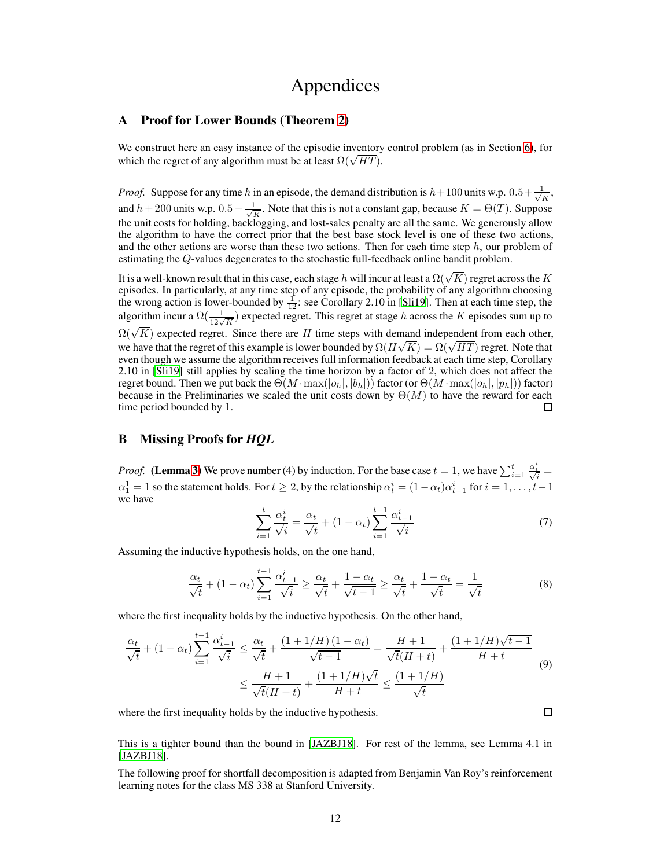## Appendices

## A Proof for Lower Bounds (Theorem [2\)](#page-4-3)

We construct here an easy instance of the episodic inventory control problem (as in Section [6\)](#page-6-0), for which the regret of any algorithm must be at least  $\Omega(\sqrt{HT})$ .

*Proof.* Suppose for any time h in an episode, the demand distribution is  $h+100$  units w.p.  $0.5+\frac{1}{\sqrt{3}}$  $\frac{1}{K}$ , and  $h + 200$  units w.p.  $0.5 - \frac{1}{\sqrt{1}}$  $\frac{1}{K}$ . Note that this is not a constant gap, because  $K = \Theta(T)$ . Suppose the unit costs for holding, backlogging, and lost-sales penalty are all the same. We generously allow the algorithm to have the correct prior that the best base stock level is one of these two actions, and the other actions are worse than these two actions. Then for each time step  $h$ , our problem of estimating the Q-values degenerates to the stochastic full-feedback online bandit problem.

It is a well-known result that in this case, each stage  $h$  will incur at least a  $\Omega(\sqrt{K})$  regret across the  $K$ episodes. In particularly, at any time step of any episode, the probability of any algorithm choosing the wrong action is lower-bounded by  $\frac{1}{12}$ : see Corollary 2.10 in [\[Sli19](#page-9-16)]. Then at each time step, the algorithm incur a  $\Omega(\frac{1}{12\sqrt{K}})$  expected regret. This regret at stage h across the K episodes sum up to  $\Omega(\sqrt{K})$  expected regret. Since there are H time steps with demand independent from each other, we have that the regret of this example is lower bounded by  $\Omega(H\sqrt{K}) = \Omega(\sqrt{HT})$  regret. Note that even though we assume the algorithm receives full information feedback at each time step, Corollary 2.10 in [\[Sli19\]](#page-9-16) still applies by scaling the time horizon by a factor of 2, which does not affect the regret bound. Then we put back the  $\Theta(M \cdot \max(|o_h|, |b_h|))$  factor (or  $\Theta(M \cdot \max(|o_h|, |p_h|))$ ) factor) because in the Preliminaries we scaled the unit costs down by  $\Theta(M)$  to have the reward for each time period bounded by 1. П

## <span id="page-11-0"></span>B Missing Proofs for *HQL*

*Proof.* (Lemma [3\)](#page-4-0) We prove number (4) by induction. For the base case  $t = 1$ , we have  $\sum_{i=1}^{t}$  $\frac{\alpha^i_t}{\sqrt{i}} =$  $\alpha_1^1 = 1$  so the statement holds. For  $t \ge 2$ , by the relationship  $\alpha_t^i = (1 - \alpha_t)\alpha_{t-1}^i$  for  $i = 1, \ldots, t-1$ we have

$$
\sum_{i=1}^{t} \frac{\alpha_t^i}{\sqrt{i}} = \frac{\alpha_t}{\sqrt{t}} + (1 - \alpha_t) \sum_{i=1}^{t-1} \frac{\alpha_{t-1}^i}{\sqrt{i}} \tag{7}
$$

Assuming the inductive hypothesis holds, on the one hand,

$$
\frac{\alpha_t}{\sqrt{t}} + (1 - \alpha_t) \sum_{i=1}^{t-1} \frac{\alpha_{t-1}^i}{\sqrt{i}} \ge \frac{\alpha_t}{\sqrt{t}} + \frac{1 - \alpha_t}{\sqrt{t - 1}} \ge \frac{\alpha_t}{\sqrt{t}} + \frac{1 - \alpha_t}{\sqrt{t}} = \frac{1}{\sqrt{t}}
$$
(8)

where the first inequality holds by the inductive hypothesis. On the other hand,

$$
\frac{\alpha_t}{\sqrt{t}} + (1 - \alpha_t) \sum_{i=1}^{t-1} \frac{\alpha_{t-1}^i}{\sqrt{i}} \le \frac{\alpha_t}{\sqrt{t}} + \frac{(1 + 1/H)(1 - \alpha_t)}{\sqrt{t-1}} = \frac{H+1}{\sqrt{t}(H+t)} + \frac{(1 + 1/H)\sqrt{t-1}}{H+t}
$$
\n
$$
\le \frac{H+1}{\sqrt{t}(H+t)} + \frac{(1 + 1/H)\sqrt{t}}{H+t} \le \frac{(1 + 1/H)}{\sqrt{t}}
$$
\n(9)

where the first inequality holds by the inductive hypothesis.

 $\Box$ 

This is a tighter bound than the bound in [\[JAZBJ18\]](#page-9-2). For rest of the lemma, see Lemma 4.1 in [\[JAZBJ18](#page-9-2)].

The following proof for shortfall decomposition is adapted from Benjamin Van Roy's reinforcement learning notes for the class MS 338 at Stanford University.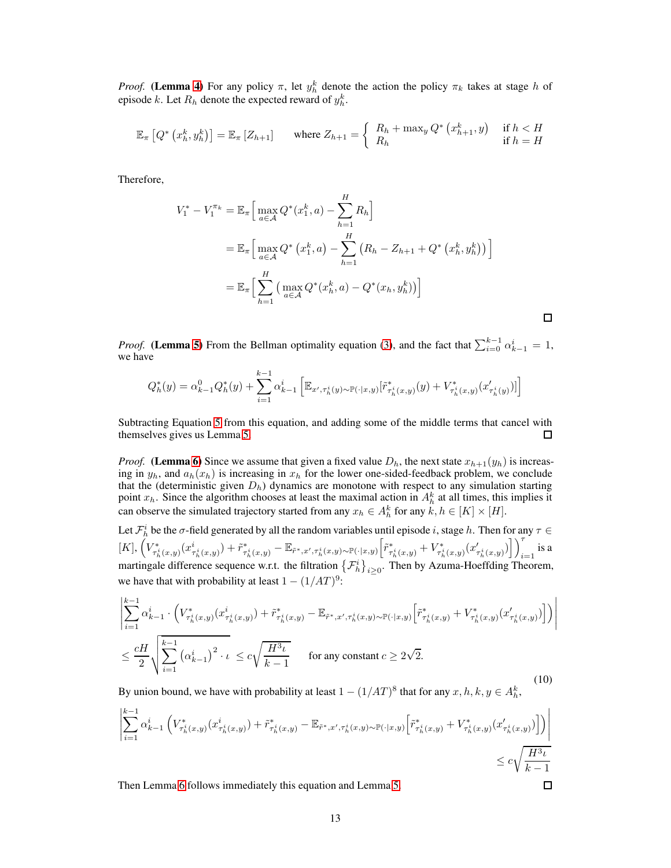*Proof.* (Lemma [4\)](#page-4-2) For any policy  $\pi$ , let  $y_h^k$  denote the action the policy  $\pi_k$  takes at stage h of episode k. Let  $R_h$  denote the expected reward of  $y_h^k$ .

$$
\mathbb{E}_{\pi} \left[ Q^* \left( x_h^k, y_h^k \right) \right] = \mathbb{E}_{\pi} \left[ Z_{h+1} \right] \quad \text{where } Z_{h+1} = \left\{ \begin{array}{ll} R_h + \max_y Q^* \left( x_{h+1}^k, y \right) & \text{if } h < H \\ R_h & \text{if } h = H \end{array} \right.
$$

Therefore,

$$
V_1^* - V_1^{\pi_k} = \mathbb{E}_{\pi} \Big[ \max_{a \in \mathcal{A}} Q^*(x_1^k, a) - \sum_{h=1}^H R_h \Big]
$$
  
=  $\mathbb{E}_{\pi} \Big[ \max_{a \in \mathcal{A}} Q^*(x_1^k, a) - \sum_{h=1}^H (R_h - Z_{h+1} + Q^*(x_h^k, y_h^k)) \Big]$   
=  $\mathbb{E}_{\pi} \Big[ \sum_{h=1}^H \Big( \max_{a \in \mathcal{A}} Q^*(x_h^k, a) - Q^*(x_h, y_h^k) \Big) \Big]$ 

*Proof.* (Lemma [5\)](#page-5-0) From the Bellman optimality equation [\(3\)](#page-4-4), and the fact that  $\sum_{i=0}^{k-1} \alpha_{k-1}^i = 1$ , we have

 $\Box$ 

$$
Q_h^*(y) = \alpha_{k-1}^0 Q_h^*(y) + \sum_{i=1}^{k-1} \alpha_{k-1}^i \left[ \mathbb{E}_{x', \tau_h^i(y) \sim \mathbb{P}(\cdot | x, y)} [\tilde{r}_{\tau_h^i(x, y)}^*(y) + V_{\tau_h^i(x, y)}^*(x_{\tau_h^i(y)})] \right]
$$

Subtracting Equation [5](#page-4-5) from this equation, and adding some of the middle terms that cancel with themselves gives us Lemma [5.](#page-5-0)  $\Box$ 

*Proof.* (Lemma [6\)](#page-5-1) Since we assume that given a fixed value  $D_h$ , the next state  $x_{h+1}(y_h)$  is increasing in  $y_h$ , and  $a_h(x_h)$  is increasing in  $x_h$  for the lower one-sided-feedback problem, we conclude that the (deterministic given  $D_h$ ) dynamics are monotone with respect to any simulation starting point  $x_h$ . Since the algorithm chooses at least the maximal action in  $A_h^k$  at all times, this implies it can observe the simulated trajectory started from any  $x_h \in A_h^k$  for any  $k, h \in [K] \times [H]$ .

Let  $\mathcal{F}_h^i$  be the  $\sigma$ -field generated by all the random variables until episode i, stage h. Then for any  $\tau \in$  $[K], \left(V_{\tau^i_h(x,y)}^*(x^i_{\tau^i_h(x,y)}) + \tilde{r}^*_{\tau^i_h(x,y)} - \mathbb{E}_{\tilde{r}^*,x',\tau^i_h(x,y)\sim \mathbb{P}(\cdot|x,y)}\bigg[\tilde{r}^*_{\tau^i_h(x,y)} + V^*_{\tau^i_h(x,y)}(x'_{\tau^i_h(x,y)})\bigg]\right)_{i=1}^T$  $\sum_{i=1}$  is a martingale difference sequence w.r.t. the filtration  $\{\mathcal{F}_h^i\}_{i\geq 0}$ . Then by Azuma-Hoeffding Theorem, we have that with probability at least  $1 - (1/AT)^9$ :

$$
\left| \sum_{i=1}^{k-1} \alpha_{k-1}^i \cdot \left( V_{\tau_h^i(x,y)}^*(x_{\tau_h^i(x,y)}^i) + \tilde{r}_{\tau_h^i(x,y)}^* - \mathbb{E}_{\tilde{r}^*,x',\tau_h^i(x,y)\sim \mathbb{P}(\cdot|x,y)} \left[ \tilde{r}_{\tau_h^i(x,y)}^* + V_{\tau_h^i(x,y)}^*(x_{\tau_h^i(x,y)}) \right] \right) \right|
$$
  
 
$$
\leq \frac{cH}{2} \sqrt{\sum_{i=1}^{k-1} (\alpha_{k-1}^i)^2 \cdot \iota} \leq c\sqrt{\frac{H^3 \iota}{k-1}} \quad \text{for any constant } c \geq 2\sqrt{2}.
$$
 (10)

By union bound, we have with probability at least  $1 - (1/AT)^8$  that for any  $x, h, k, y \in A_h^k$ ,

$$
\left| \sum_{i=1}^{k-1} \alpha_{k-1}^i \left( V_{\tau_h^i(x,y)}^*(x_{\tau_h^i(x,y)}^i) + \tilde{r}_{\tau_h^i(x,y)}^* - \mathbb{E}_{\tilde{r}^*,x',\tau_h^i(x,y)\sim \mathbb{P}(\cdot|x,y)} \left[ \tilde{r}_{\tau_h^i(x,y)}^* + V_{\tau_h^i(x,y)}^*(x_{\tau_h^i(x,y)})' \right] \right) \right|
$$
  
\n
$$
\leq c \sqrt{\frac{H^3 \iota}{k-1}}
$$
  
\nThen Lemma 6 follows immediately this equation and Lemma 5.

Then Lemma [6](#page-5-1) follows immediately this equation and Lemma [5.](#page-5-0)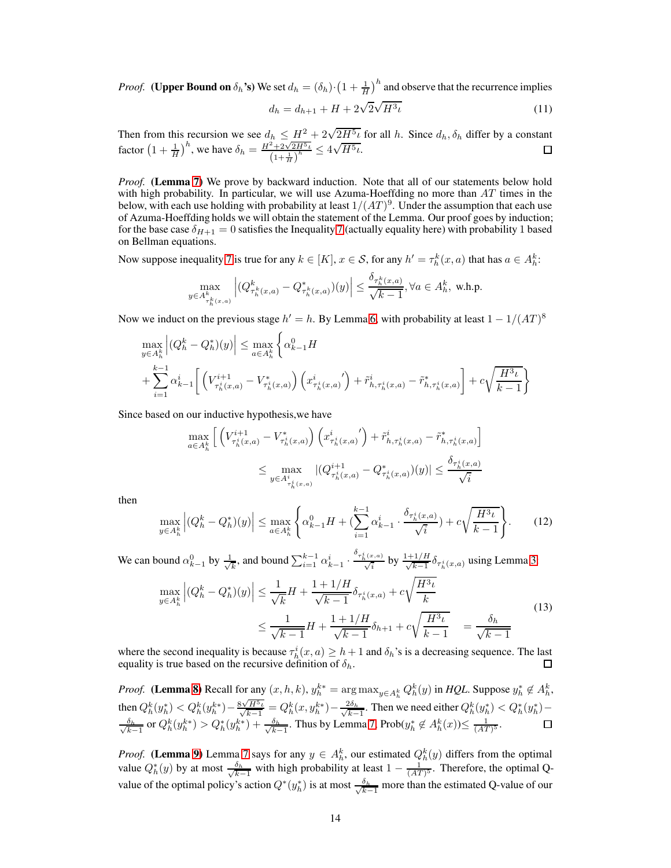*Proof.* (Upper Bound on  $\delta_h$ 's) We set  $d_h = (\delta_h) \cdot (1 + \frac{1}{H})^h$  and observe that the recurrence implies √

$$
d_h = d_{h+1} + H + 2\sqrt{2}\sqrt{H^3\iota} \tag{11}
$$

Then from this recursion we see  $d_h \leq \frac{H^2}{2} + 2\sqrt{2H^5} \iota$  for all h. Since  $d_h$ ,  $\delta_h$  differ by a constant factor  $\left(1+\frac{1}{H}\right)^h$ , we have  $\delta_h = \frac{H^2 + 2\sqrt{2H^5 h}}{(1+\frac{1}{2})^h}$  $\frac{\frac{2}{2+2\sqrt{2H^5\iota}}}{\left(1+\frac{1}{H}\right)^h} \leq 4\sqrt{H^5\iota}.$ 

*Proof.* (Lemma [7\)](#page-5-2) We prove by backward induction. Note that all of our statements below hold with high probability. In particular, we will use Azuma-Hoeffding no more than  $AT$  times in the below, with each use holding with probability at least  $1/(AT)^9$ . Under the assumption that each use of Azuma-Hoeffding holds we will obtain the statement of the Lemma. Our proof goes by induction; for the base case  $\delta_{H+1} = 0$  satisfies the Inequality [7](#page-5-2) (actually equality here) with probability 1 based on Bellman equations.

Now suppose inequality [7](#page-5-2) is true for any  $k \in [K]$ ,  $x \in S$ , for any  $h' = \tau_h^k(x, a)$  that has  $a \in A_h^k$ :

$$
\max_{y\in A^k_{\tau_h^k(x,a)}}\Big|(Q^k_{\tau_h^k(x,a)}-Q^*_{\tau_h^k(x,a)})(y)\Big|\leq \frac{\delta_{\tau_h^k(x,a)}}{\sqrt{k-1}}, \forall a\in A_h^k, \text{ w.h.p.}
$$

Now we induct on the previous stage  $h' = h$ . By Lemma [6,](#page-5-1) with probability at least  $1 - 1/(AT)^8$ 

$$
\max_{y \in A_h^k} |(Q_h^k - Q_h^*)(y)| \le \max_{a \in A_h^k} \left\{ \alpha_{k-1}^0 H + \sum_{i=1}^{k-1} \alpha_{k-1}^i \left[ \left( V_{\tau_h^i(x,a)}^{i+1} - V_{\tau_h^i(x,a)}^{*} \right) \left( x_{\tau_h^i(x,a)}^i \right) + \tilde{r}_{h,\tau_h^i(x,a)}^i - \tilde{r}_{h,\tau_h^i(x,a)}^* \right] + c \sqrt{\frac{H^3 \iota}{k-1}} \right\}
$$

Since based on our inductive hypothesis,we have

$$
\max_{a \in A_h^k} \left[ \left( V_{\tau_h^i(x,a)}^{i+1} - V_{\tau_h^i(x,a)}^* \right) \left( x_{\tau_h^i(x,a)}^i \right) + \tilde{r}_{h,\tau_h^i(x,a)}^i - \tilde{r}_{h,\tau_h^i(x,a)}^* \right] \n\le \max_{y \in A_{\tau_h^i(x,a)}^i} |(Q_{\tau_h^i(x,a)}^{i+1} - Q_{\tau_h^i(x,a)}^*) (y)| \le \frac{\delta_{\tau_h^i(x,a)}}{\sqrt{i}}
$$

then

$$
\max_{y \in A_h^k} \left| (Q_h^k - Q_h^*)(y) \right| \le \max_{a \in A_h^k} \left\{ \alpha_{k-1}^0 H + \left( \sum_{i=1}^{k-1} \alpha_{k-1}^i \cdot \frac{\delta_{\tau_h^i(x,a)}}{\sqrt{i}} \right) + c \sqrt{\frac{H^3 \iota}{k-1}} \right\}.
$$
 (12)

We can bound  $\alpha_{k-1}^0$  by  $\frac{1}{\sqrt{k}}$  $\frac{1}{k}$ , and bound  $\sum_{i=1}^{k-1} \alpha_{k-1}^i$ .  $\frac{\delta_{\tau_h^i(x,a)}}{\sqrt{i}}$  by  $\frac{1+1/H}{\sqrt{k-1}} \delta_{\tau_h^i(x,a)}$  using Lemma [3:](#page-4-0)

$$
\max_{y \in A_h^k} \left| (Q_h^k - Q_h^*)(y) \right| \le \frac{1}{\sqrt{k}} H + \frac{1 + 1/H}{\sqrt{k-1}} \delta_{\tau_h^i(x,a)} + c \sqrt{\frac{H^3 \iota}{k}}
$$
\n
$$
\le \frac{1}{\sqrt{k-1}} H + \frac{1 + 1/H}{\sqrt{k-1}} \delta_{h+1} + c \sqrt{\frac{H^3 \iota}{k-1}} = \frac{\delta_h}{\sqrt{k-1}}
$$
\n(13)

where the second inequality is because  $\tau_h^i(x, a) \geq h + 1$  and  $\delta_h$ 's is a decreasing sequence. The last equality is true based on the recursive definition of  $\delta_h$ .

*Proof.* (Lemma [8\)](#page-5-5) Recall for any  $(x, h, k)$ ,  $y_h^{k*} = \arg \max_{y \in A_h^k} Q_h^k(y)$  in *HQL*. Suppose  $y_h^* \notin A_h^k$ , then  $Q_h^k(y_h^*) < Q_h^k(y_h^{k*}) - \frac{8\sqrt{H^5\iota}}{\sqrt{k-1}} = Q_h^k(x, y_h^{k*}) - \frac{2\delta_h}{\sqrt{k-1}}$ . Then y  $\frac{\partial \delta_h}{\partial k-1}$ . Then we need either  $Q_h^k(y_h^*) < Q_h^*(y_h^*)$  –  $\frac{\delta_h}{\sqrt{h}}$  $\frac{\delta_h}{k-1}$  or  $Q_h^k(y_h^{k*}) > Q_h^*(y_h^{k*}) + \frac{\delta_h}{\sqrt{k-1}}$  $\frac{\delta_h}{k-1}$ . Thus by Lemma [7,](#page-5-2) Prob $(y_h^* \notin A_h^k(x))$ ≤  $\frac{1}{(AT)^5}$ .  $\Box$ 

*Proof.* (Lemma [9\)](#page-5-4) Lemma [7](#page-5-2) says for any  $y \in A_h^k$ , our estimated  $Q_h^k(y)$  differs from the optimal value  $Q_h^*(y)$  by at most  $\frac{\delta_h}{\sqrt{k-1}}$  $\frac{\delta_h}{k-1}$  with high probability at least  $1 - \frac{1}{(AT)^5}$ . Therefore, the optimal Qvalue of the optimal policy's action  $Q^*(y_h^*)$  is at most  $\frac{\delta_h}{\sqrt{k-1}}$  $\frac{\delta_h}{k-1}$  more than the estimated Q-value of our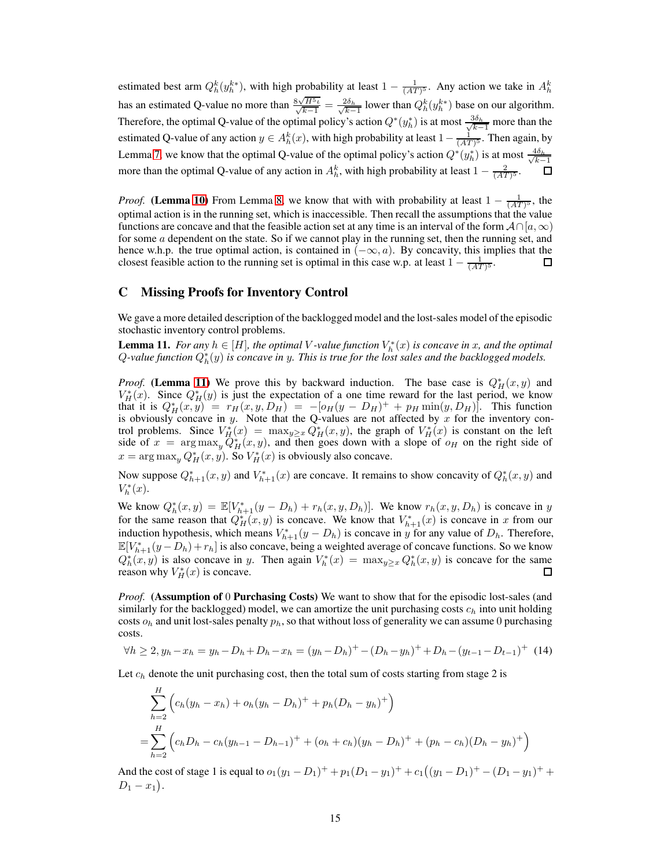estimated best arm  $Q_h^k(y_h^{k*})$ , with high probability at least  $1 - \frac{1}{(AT)^5}$ . Any action we take in  $A_h^k$ has an estimated Q-value no more than  $\frac{8\sqrt{H^5\iota}}{\sqrt{k-1}} = \frac{2\delta_h}{\sqrt{k-1}}$  $\frac{\partial \delta_h}{\partial k-1}$  lower than  $Q_h^k(y_h^{k*})$  base on our algorithm. Therefore, the optimal Q-value of the optimal policy's action  $Q^*(y_h^*)$  is at most  $\frac{3\delta_h}{\sqrt{k-1}}$  $\frac{3\delta_h}{k-1}$  more than the estimated Q-value of any action  $y \in A_h^k(x)$ , with high probability at least  $1 - \frac{1}{(AT)^5}$ . Then again, by Lemma [7,](#page-5-2) we know that the optimal Q-value of the optimal policy's action  $Q^*(y_h^*)$  is at most  $\frac{4\delta_h}{\sqrt{k-1}}$  $k-1$ more than the optimal Q-value of any action in  $A_h^k$ , with high probability at least  $1 - \frac{2}{(AT)^5}$ .

*Proof.* (Lemma [10\)](#page-5-3) From Lemma [8,](#page-5-5) we know that with with probability at least  $1 - \frac{1}{(AT)^5}$ , the optimal action is in the running set, which is inaccessible. Then recall the assumptions that the value functions are concave and that the feasible action set at any time is an interval of the form  $\mathcal{A} \cap [a, \infty)$ for some a dependent on the state. So if we cannot play in the running set, then the running set, and hence w.h.p. the true optimal action, is contained in  $(-\infty, a)$ . By concavity, this implies that the closest feasible action to the running set is optimal in this case w.p. at least  $1 - \frac{1}{(A T \cdot \delta)}$ . closest feasible action to the running set is optimal in this case w.p. at least  $1 - \frac{1}{(AT)^5}$ .

## <span id="page-14-0"></span>C Missing Proofs for Inventory Control

=

We gave a more detailed description of the backlogged model and the lost-sales model of the episodic stochastic inventory control problems.

<span id="page-14-1"></span>**Lemma 11.** *For any*  $h \in [H]$ *, the optimal V-value function*  $V_h^*(x)$  *is concave in* x*, and the optimal*  $Q$ -value function  $Q_h^*(y)$  is concave in y. This is true for the lost sales and the backlogged models.

*Proof.* (Lemma [11\)](#page-14-1) We prove this by backward induction. The base case is  $Q_H^*(x, y)$  and  $V_H^*(x)$ . Since  $Q_H^*(y)$  is just the expectation of a one time reward for the last period, we know that it is  $Q_H^*(x, y) = r_H(x, y, D_H) = -[o_H(y - D_H)^+ + p_H \min(y, D_H)]$ . This function is obviously concave in y. Note that the Q-values are not affected by x for the inventory control problems. Since  $V_H^*(x) = \max_{y \ge x} Q_H^*(x, y)$ , the graph of  $V_H^*(x)$  is constant on the left side of  $x = \arg \max_{y} Q_{H}^{*}(x, y)$ , and then goes down with a slope of  $o_{H}$  on the right side of  $x = \arg \max_{y} Q_{H}^{*}(x, y)$ . So  $V_{H}^{*}(x)$  is obviously also concave.

Now suppose  $Q_{h+1}^*(x, y)$  and  $V_{h+1}^*(x)$  are concave. It remains to show concavity of  $Q_h^*(x, y)$  and  $V_h^*(x)$ .

We know  $Q_h^*(x, y) = \mathbb{E}[V_{h+1}^*(y - D_h) + r_h(x, y, D_h)]$ . We know  $r_h(x, y, D_h)$  is concave in y for the same reason that  $Q_H^*(x, y)$  is concave. We know that  $V_{h+1}^*(x)$  is concave in x from our induction hypothesis, which means  $V_{h+1}^*(y - D_h)$  is concave in y for any value of  $D_h$ . Therefore,  $\mathbb{E}[V_{h+1}^*(y - D_h) + r_h]$  is also concave, being a weighted average of concave functions. So we know  $Q_h^*(x, y)$  is also concave in y. Then again  $V_h^*(x) = \max_{y \ge x} Q_h^*(x, y)$  is concave for the same reason why  $V_H^*(x)$  is concave. П

*Proof.* (Assumption of 0 Purchasing Costs) We want to show that for the episodic lost-sales (and similarly for the backlogged) model, we can amortize the unit purchasing costs  $c_h$  into unit holding costs  $o_h$  and unit lost-sales penalty  $p_h$ , so that without loss of generality we can assume 0 purchasing costs.

$$
\forall h \ge 2, y_h - x_h = y_h - D_h + D_h - x_h = (y_h - D_h)^+ - (D_h - y_h)^+ + D_h - (y_{t-1} - D_{t-1})^+ \tag{14}
$$

Let  $c_h$  denote the unit purchasing cost, then the total sum of costs starting from stage 2 is

$$
\sum_{h=2}^{H} \left( c_h (y_h - x_h) + o_h (y_h - D_h)^+ + p_h (D_h - y_h)^+ \right)
$$
  
= 
$$
\sum_{h=2}^{H} \left( c_h D_h - c_h (y_{h-1} - D_{h-1})^+ + (o_h + c_h)(y_h - D_h)^+ + (p_h - c_h)(D_h - y_h)^+ \right)
$$

And the cost of stage 1 is equal to  $o_1(y_1 - D_1)^+ + p_1(D_1 - y_1)^+ + c_1((y_1 - D_1)^+ - (D_1 - y_1)^+ +$  $D_1 - x_1$ .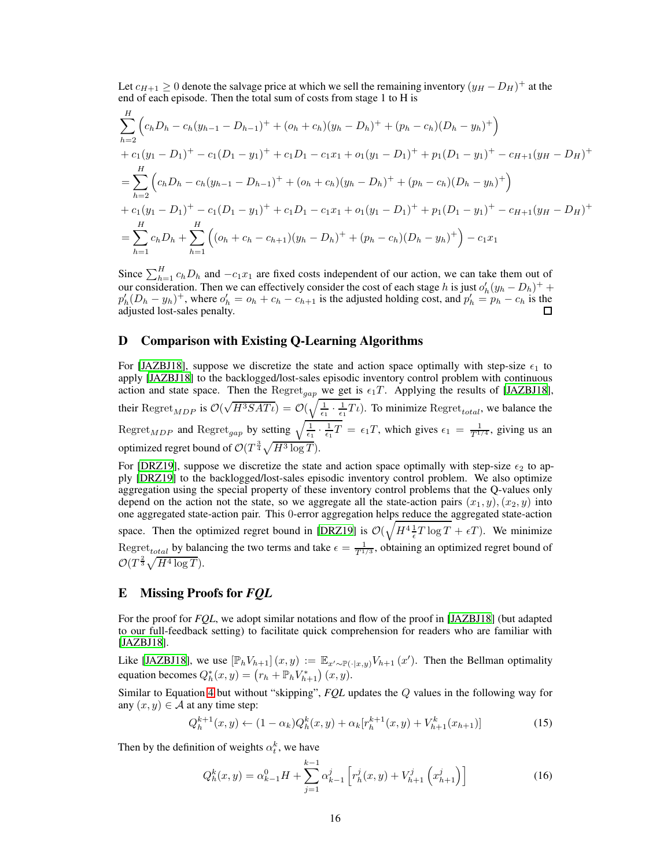Let  $c_{H+1} \geq 0$  denote the salvage price at which we sell the remaining inventory  $(y_H - D_H)^+$  at the end of each episode. Then the total sum of costs from stage 1 to H is

$$
\sum_{h=2}^{H} \left( c_h D_h - c_h (y_{h-1} - D_{h-1})^+ + (o_h + c_h)(y_h - D_h)^+ + (p_h - c_h)(D_h - y_h)^+ \right)
$$
  
+  $c_1 (y_1 - D_1)^+ - c_1 (D_1 - y_1)^+ + c_1 D_1 - c_1 x_1 + o_1 (y_1 - D_1)^+ + p_1 (D_1 - y_1)^+ - c_{H+1} (y_H - D_H)^+ \right)$   
= 
$$
\sum_{h=2}^{H} \left( c_h D_h - c_h (y_{h-1} - D_{h-1})^+ + (o_h + c_h)(y_h - D_h)^+ + (p_h - c_h)(D_h - y_h)^+ \right)
$$
  
+  $c_1 (y_1 - D_1)^+ - c_1 (D_1 - y_1)^+ + c_1 D_1 - c_1 x_1 + o_1 (y_1 - D_1)^+ + p_1 (D_1 - y_1)^+ - c_{H+1} (y_H - D_H)^+ \right)$   
= 
$$
\sum_{h=1}^{H} c_h D_h + \sum_{h=1}^{H} \left( (o_h + c_h - c_{h+1})(y_h - D_h)^+ + (p_h - c_h)(D_h - y_h)^+ \right) - c_1 x_1
$$

Since  $\sum_{h=1}^{H} c_h D_h$  and  $-c_1x_1$  are fixed costs independent of our action, we can take them out of our consideration. Then we can effectively consider the cost of each stage h is just  $o'_h(y_h - D_h)^+$  +  $p'_h(D_h - y_h)^+$ , where  $o'_h = o_h + c_h - c_{h+1}$  is the adjusted holding cost, and  $p'_h = p_h - c_h$  is the adjusted lost-sales penalty.

## <span id="page-15-1"></span>D Comparison with Existing Q-Learning Algorithms

For [\[JAZBJ18\]](#page-9-2), suppose we discretize the state and action space optimally with step-size  $\epsilon_1$  to apply [\[JAZBJ18\]](#page-9-2) to the backlogged/lost-sales episodic inventory control problem with continuous action and state space. Then the Regret<sub>gap</sub> we get is  $\epsilon_1T$ . Applying the results of [\[JAZBJ18\]](#page-9-2), their  $\text{Regret}_{MDP}$  is  $\mathcal{O}(\sqrt{H^3SAT\iota}) = \mathcal{O}(\sqrt{\frac{1}{\epsilon_1} \cdot \frac{1}{\epsilon_1}T\iota})$ . To minimize  $\text{Regret}_{total}$ , we balance the Regret<sub>MDP</sub> and Regret<sub>gap</sub> by setting  $\sqrt{\frac{1}{\epsilon_1} \cdot \frac{1}{\epsilon_1}T} = \epsilon_1 T$ , which gives  $\epsilon_1 = \frac{1}{T^{1/4}}$ , giving us an optimized regret bound of  $\mathcal{O}(T^{\frac{3}{4}}\sqrt{H^3\log T}).$ 

For [\[DRZ19\]](#page-9-3), suppose we discretize the state and action space optimally with step-size  $\epsilon_2$  to apply [\[DRZ19\]](#page-9-3) to the backlogged/lost-sales episodic inventory control problem. We also optimize aggregation using the special property of these inventory control problems that the Q-values only depend on the action not the state, so we aggregate all the state-action pairs  $(x_1, y), (x_2, y)$  into one aggregated state-action pair. This 0-error aggregation helps reduce the aggregated state-action space. Then the optimized regret bound in [\[DRZ19](#page-9-3)] is  $\mathcal{O}(\sqrt{H^4 \frac{1}{\epsilon} T \log T} + \epsilon T)$ . We minimize Regret<sub>total</sub> by balancing the two terms and take  $\epsilon = \frac{1}{T^{1/3}}$ , obtaining an optimized regret bound of  $\mathcal{O}(T^{\frac{2}{3}}\sqrt{H^4\log T}).$ 

## <span id="page-15-0"></span>E Missing Proofs for *FQL*

For the proof for *FQL*, we adopt similar notations and flow of the proof in [\[JAZBJ18\]](#page-9-2) (but adapted to our full-feedback setting) to facilitate quick comprehension for readers who are familiar with [\[JAZBJ18](#page-9-2)].

Like [\[JAZBJ18\]](#page-9-2), we use  $[\mathbb{P}_h V_{h+1}](x, y) := \mathbb{E}_{x' \sim \mathbb{P}(\cdot | x, y)} V_{h+1}(x')$ . Then the Bellman optimality equation becomes  $Q_h^*(x, y) = (r_h + \mathbb{P}_h V_{h+1}^*) (x, y)$ .

Similar to Equation [4](#page-4-1) but without "skipping", *FQL* updates the Q values in the following way for any  $(x, y) \in A$  at any time step:

$$
Q_h^{k+1}(x,y) \leftarrow (1 - \alpha_k) Q_h^k(x,y) + \alpha_k [r_h^{k+1}(x,y) + V_{h+1}^k(x_{h+1})]
$$
\n(15)

Then by the definition of weights  $\alpha_t^k$ , we have

<span id="page-15-2"></span>
$$
Q_h^k(x,y) = \alpha_{k-1}^0 H + \sum_{j=1}^{k-1} \alpha_{k-1}^j \left[ r_h^j(x,y) + V_{h+1}^j \left( x_{h+1}^j \right) \right]
$$
(16)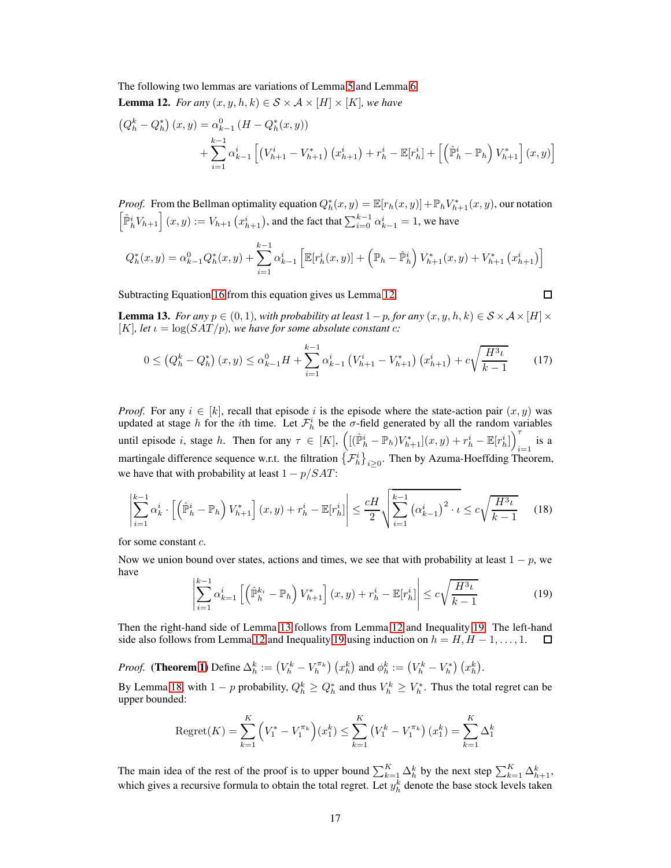The following two lemmas are variations of Lemma [5](#page-5-0) and Lemma [6.](#page-5-1)

<span id="page-16-0"></span>**Lemma 12.** *For any*  $(x, y, h, k) \in S \times A \times [H] \times [K]$ *, we have* 

$$
(Q_h^k - Q_h^*) (x, y) = \alpha_{k-1}^0 (H - Q_h^*(x, y))
$$
  
+ 
$$
\sum_{i=1}^{k-1} \alpha_{k-1}^i \left[ (V_{h+1}^i - V_{h+1}^*) (x_{h+1}^i) + r_h^i - \mathbb{E}[r_h^i] + \left[ \left( \hat{\mathbb{P}}_h^i - \mathbb{P}_h \right) V_{h+1}^* \right] (x, y) \right]
$$

*Proof.* From the Bellman optimality equation  $Q_h^*(x, y) = \mathbb{E}[r_h(x, y)] + \mathbb{P}_h V_{h+1}^*(x, y)$ , our notation  $\left[\hat{P}_{h}^{i}V_{h+1}\right](x,y) := V_{h+1}\left(x_{h+1}^{i}\right)$ , and the fact that  $\sum_{i=0}^{k-1} \alpha_{k-1}^{i} = 1$ , we have

$$
Q_h^*(x,y) = \alpha_{k-1}^0 Q_h^*(x,y) + \sum_{i=1}^{k-1} \alpha_{k-1}^i \left[ \mathbb{E}[r_h^i(x,y)] + \left(\mathbb{P}_h - \hat{\mathbb{P}}_h^i\right) V_{h+1}^*(x,y) + V_{h+1}^*\left(x_{h+1}^i\right) \right]
$$

Subtracting Equation [16](#page-15-2) from this equation gives us Lemma [12.](#page-16-0)

<span id="page-16-1"></span> $\Box$ 

**Lemma 13.** *For any*  $p \in (0, 1)$ *, with probability at least*  $1-p$ *, for any*  $(x, y, h, k) \in S \times A \times [H] \times$ [K], let  $\iota = \log(SAT/p)$ , we have for some absolute constant c:

$$
0 \leq \left(Q_h^k - Q_h^*\right)(x, y) \leq \alpha_{k-1}^0 H + \sum_{i=1}^{k-1} \alpha_{k-1}^i \left(V_{h+1}^i - V_{h+1}^*\right)(x_{h+1}^i) + c\sqrt{\frac{H^3 \iota}{k-1}} \tag{17}
$$

*Proof.* For any  $i \in [k]$ , recall that episode i is the episode where the state-action pair  $(x, y)$  was updated at stage h for the *i*th time. Let  $\mathcal{F}_h^i$  be the  $\sigma$ -field generated by all the random variables until episode i, stage h. Then for any  $\tau \in [K]$ ,  $\left( [(\hat{\mathbb{P}}_h^i - \mathbb{P}_h)V_{h+1}^*](x, y) + r_h^i - \mathbb{E}[r_h^i] \right)^{\tau}$  $\sum_{i=1}$  is a martingale difference sequence w.r.t. the filtration  $\{\mathcal{F}_h^i\}_{i\geq 0}$ . Then by Azuma-Hoeffding Theorem, we have that with probability at least  $1 - p/SAT$ :

$$
\left| \sum_{i=1}^{k-1} \alpha_k^i \cdot \left[ \left( \hat{\mathbb{P}}_h^i - \mathbb{P}_h \right) V_{h+1}^* \right] (x, y) + r_h^i - \mathbb{E}[r_h^i] \right| \le \frac{cH}{2} \sqrt{\sum_{i=1}^{k-1} \left( \alpha_{k-1}^i \right)^2 \cdot \iota} \le c\sqrt{\frac{H^3 \iota}{k-1}} \tag{18}
$$

for some constant c.

<span id="page-16-2"></span>Now we union bound over states, actions and times, we see that with probability at least  $1 - p$ , we have

<span id="page-16-3"></span>
$$
\left|\sum_{i=1}^{k-1} \alpha_{k=1}^i \left[ \left(\widehat{\mathbb{P}}_h^{k_i} - \mathbb{P}_h\right) V_{h+1}^* \right] (x, y) + r_h^i - \mathbb{E}[r_h^i] \right| \le c \sqrt{\frac{H^3 \iota}{k-1}} \tag{19}
$$

Then the right-hand side of Lemma [13](#page-16-1) follows from Lemma [12](#page-16-0) and Inequality [19.](#page-16-2) The left-hand side also follows from Lemma [12](#page-16-0) and Inequality [19](#page-16-2) using induction on  $h = H, H - 1, \ldots, 1$ . □

*Proof.* (Theorem [1\)](#page-3-2) Define  $\Delta_h^k := (V_h^k - V_h^{\pi_k}) (x_h^k)$  and  $\phi_h^k := (V_h^k - V_h^*) (x_h^k)$ .

By Lemma [18,](#page-16-3) with  $1-p$  probability,  $Q_h^k \geq Q_h^*$  and thus  $V_h^k \geq V_h^*$ . Thus the total regret can be upper bounded:

Regret(K) = 
$$
\sum_{k=1}^{K} (V_1^* - V_1^{\pi_k})(x_1^k) \le \sum_{k=1}^{K} (V_1^k - V_1^{\pi_k})(x_1^k) = \sum_{k=1}^{K} \Delta_1^k
$$

The main idea of the rest of the proof is to upper bound  $\sum_{k=1}^{K} \Delta_h^k$  by the next step  $\sum_{k=1}^{K} \Delta_{h+1}^k$ , which gives a recursive formula to obtain the total regret. Let  $y_h^k$  denote the base stock levels taken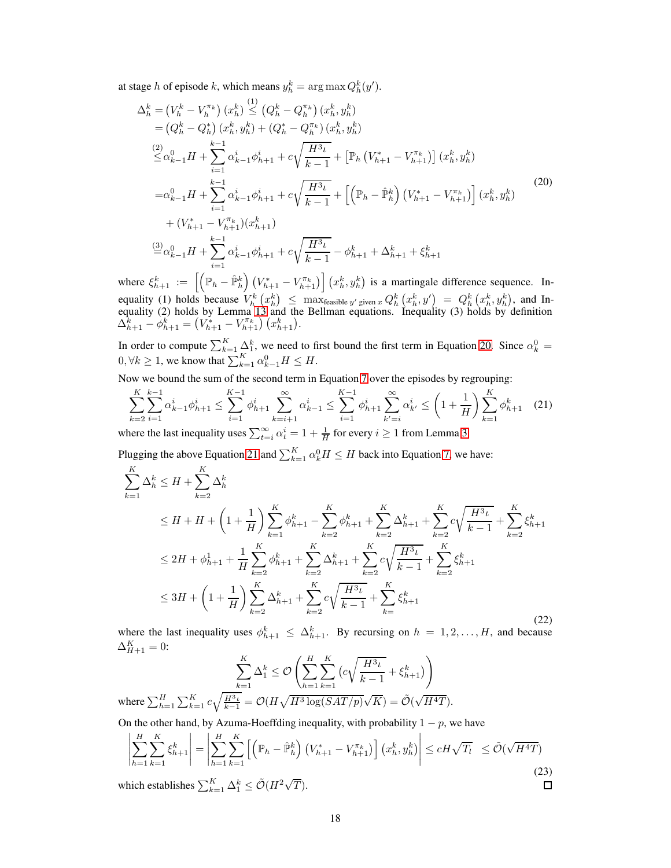at stage h of episode k, which means  $y_h^k = \arg \max Q_h^k(y')$ .

<span id="page-17-0"></span>
$$
\Delta_h^k = (V_h^k - V_h^{\pi_k}) (x_h^k) \leq (Q_h^k - Q_h^{\pi_k}) (x_h^k, y_h^k) \n= (Q_h^k - Q_h^*) (x_h^k, y_h^k) + (Q_h^* - Q_h^{\pi_k}) (x_h^k, y_h^k) \n\stackrel{(2)}{\leq} \alpha_{k-1}^0 H + \sum_{i=1}^{k-1} \alpha_{k-1}^i \phi_{h+1}^i + c \sqrt{\frac{H^3 \iota}{k-1}} + \left[ \mathbb{P}_h (V_{h+1}^* - V_{h+1}^{\pi_k}) \right] (x_h^k, y_h^k) \n= \alpha_{k-1}^0 H + \sum_{i=1}^{k-1} \alpha_{k-1}^i \phi_{h+1}^i + c \sqrt{\frac{H^3 \iota}{k-1}} + \left[ \left( \mathbb{P}_h - \hat{\mathbb{P}}_h^k \right) (V_{h+1}^* - V_{h+1}^{\pi_k}) \right] (x_h^k, y_h^k) \n+ (V_{h+1}^* - V_{h+1}^{\pi_k}) (x_{h+1}^k) \n\frac{d^3}{dx^2} \alpha_{k-1}^0 H + \sum_{i=1}^{k-1} \alpha_{k-1}^i \phi_{h+1}^i + c \sqrt{\frac{H^3 \iota}{k-1}} - \phi_{h+1}^k + \Delta_{h+1}^k + \xi_{h+1}^k
$$
\n(20)

where  $\xi_{h+1}^k := \left[ \left( \mathbb{P}_h - \hat{\mathbb{P}}_h^k \right) \left( V_{h+1}^* - V_{h+1}^{\pi_k} \right) \right] \left( x_h^k, y_h^k \right)$  is a martingale difference sequence. Inequality (1) holds because  $V_h^k(x_h^k) \leq \max_{k=1}^{\infty} Q_h^k(x_h^k, y') = Q_h^k(x_h^k, y_h^k)$ , and Inequality (2) holds by Lemma [13](#page-16-1) and the Bellman equations. Inequality (3) holds by definition  $\Delta_{h+1}^{\overline{k}} - \phi_{h+1}^{\overline{k}} = (V_{h+1}^* - V_{h+1}^{\pi_k}) (x_{h+1}^k).$ 

In order to compute  $\sum_{k=1}^{K} \Delta_1^k$ , we need to first bound the first term in Equation [20.](#page-17-0) Since  $\alpha_k^0$  =  $0, \forall k \ge 1$ , we know that  $\sum_{k=1}^{K} \alpha_{k-1}^{0} H \le H$ .

Now we bound the sum of the second term in Equation [7](#page-5-2) over the episodes by regrouping:

<span id="page-17-1"></span>
$$
\sum_{k=2}^{K} \sum_{i=1}^{k-1} \alpha_{k-1}^{i} \phi_{h+1}^{i} \le \sum_{i=1}^{K-1} \phi_{h+1}^{i} \sum_{k=i+1}^{\infty} \alpha_{k-1}^{i} \le \sum_{i=1}^{K-1} \phi_{h+1}^{i} \sum_{k'=i}^{\infty} \alpha_{k'}^{i} \le \left(1 + \frac{1}{H}\right) \sum_{k=1}^{K} \phi_{h+1}^{k} \tag{21}
$$

where the last inequality uses  $\sum_{t=i}^{\infty} \alpha_t^i = 1 + \frac{1}{H}$  for every  $i \ge 1$  from Lemma [3.](#page-4-0)

Plugging the above Equation [21](#page-17-1) and  $\sum_{k=1}^{K} \alpha_k^0 H \le H$  back into Equation [7,](#page-5-2) we have:

$$
\sum_{k=1}^{K} \Delta_{h}^{k} \leq H + \sum_{k=2}^{K} \Delta_{h}^{k}
$$
\n
$$
\leq H + H + \left(1 + \frac{1}{H}\right) \sum_{k=1}^{K} \phi_{h+1}^{k} - \sum_{k=2}^{K} \phi_{h+1}^{k} + \sum_{k=2}^{K} \Delta_{h+1}^{k} + \sum_{k=2}^{K} c \sqrt{\frac{H^{3} \iota}{k-1}} + \sum_{k=2}^{K} \xi_{h+1}^{k}
$$
\n
$$
\leq 2H + \phi_{h+1}^{1} + \frac{1}{H} \sum_{k=2}^{K} \phi_{h+1}^{k} + \sum_{k=2}^{K} \Delta_{h+1}^{k} + \sum_{k=2}^{K} c \sqrt{\frac{H^{3} \iota}{k-1}} + \sum_{k=2}^{K} \xi_{h+1}^{k}
$$
\n
$$
\leq 3H + \left(1 + \frac{1}{H}\right) \sum_{k=2}^{K} \Delta_{h+1}^{k} + \sum_{k=2}^{K} c \sqrt{\frac{H^{3} \iota}{k-1}} + \sum_{k=2}^{K} \xi_{h+1}^{k}
$$
\n
$$
(22)
$$

where the last inequality uses  $\phi_{h+1}^k \leq \Delta_{h+1}^k$ . By recursing on  $h = 1, 2, \ldots, H$ , and because  $\Delta_{H+1}^K = 0:$ 

$$
\sum_{k=1}^{K} \Delta_1^k \leq \mathcal{O}\left(\sum_{h=1}^{H} \sum_{k=1}^{K} \left(c\sqrt{\frac{H^3\iota}{k-1}} + \xi_{h+1}^k\right)\right)
$$
  
where  $\sum_{h=1}^{H} \sum_{k=1}^{K} c\sqrt{\frac{H^3\iota}{k-1}} = \mathcal{O}(H\sqrt{H^3 \log(SAT/p)}\sqrt{K}) = \tilde{\mathcal{O}}(\sqrt{H^4T}).$ 

On the other hand, by Azuma-Hoeffding inequality, with probability  $1 - p$ , we have

$$
\left| \sum_{h=1}^{H} \sum_{k=1}^{K} \xi_{h+1}^{k} \right| = \left| \sum_{h=1}^{H} \sum_{k=1}^{K} \left[ \left( \mathbb{P}_{h} - \hat{\mathbb{P}}_{h}^{k} \right) \left( V_{h+1}^{*} - V_{h+1}^{\pi_{k}} \right) \right] \left( x_{h}^{k}, y_{h}^{k} \right) \right| \le cH\sqrt{T_{l}} \le \tilde{\mathcal{O}}(\sqrt{H^{4}T})
$$
\nwhich establishes

\n
$$
\sum_{h=1}^{K} \Delta_{1}^{k} < \tilde{\mathcal{O}}(H^{2}\sqrt{T}).
$$
\n\Box

which establishes  $\sum_{k=1}^{K} \Delta_1^k \leq \tilde{\mathcal{O}}(H^2 \sqrt{T}).$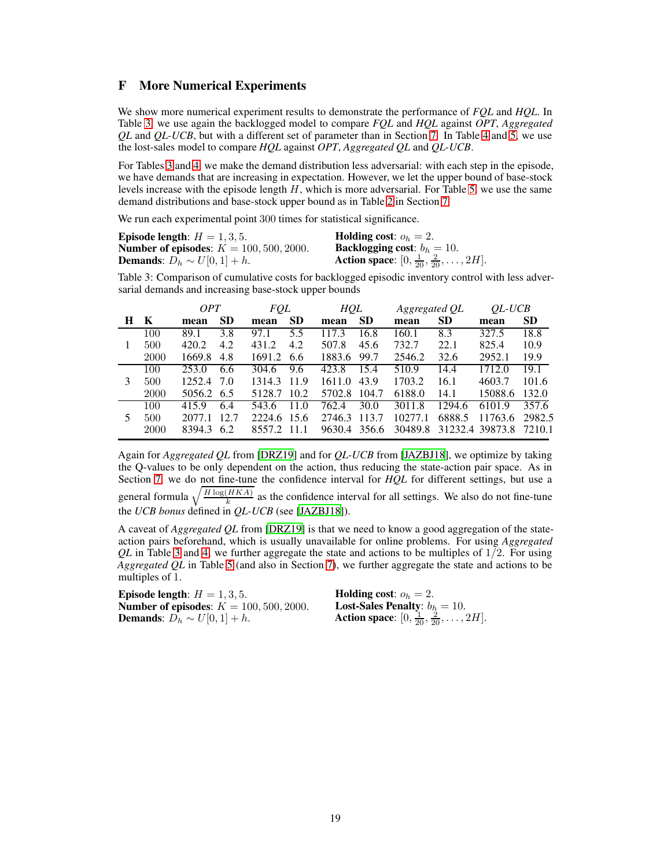## <span id="page-18-0"></span>F More Numerical Experiments

We show more numerical experiment results to demonstrate the performance of *FQL* and *HQL*. In Table [3,](#page-18-1) we use again the backlogged model to compare *FQL* and *HQL* against *OPT*, *Aggregated QL* and *QL-UCB*, but with a different set of parameter than in Section [7.](#page-7-0) In Table [4](#page-19-0) and [5,](#page-19-1) we use the lost-sales model to compare *HQL* against *OPT*, *Aggregated QL* and *QL-UCB*.

For Tables [3](#page-18-1) and [4,](#page-19-0) we make the demand distribution less adversarial: with each step in the episode, we have demands that are increasing in expectation. However, we let the upper bound of base-stock levels increase with the episode length H, which is more adversarial. For Table [5,](#page-19-1) we use the same demand distributions and base-stock upper bound as in Table [2](#page-8-1) in Section [7.](#page-7-0)

We run each experimental point 300 times for statistical significance.

| Episode length: $H = 1, 3, 5$ .                   | <b>Holding cost:</b> $o_h = 2$ .                                   |
|---------------------------------------------------|--------------------------------------------------------------------|
| <b>Number of episodes:</b> $K = 100, 500, 2000$ . | <b>Backlogging cost:</b> $b_h = 10$ .                              |
| <b>Demands:</b> $D_h \sim U[0, 1] + h$ .          | <b>Action space:</b> $[0, \frac{1}{20}, \frac{2}{20}, \dots, 2H].$ |

<span id="page-18-1"></span>Table 3: Comparison of cumulative costs for backlogged episodic inventory control with less adversarial demands and increasing base-stock upper bounds

|   |      | <i>OPT</i> |           | FQL    |           | HQL          |           | Aggregated QL |           | <i>OL-UCB</i>   |           |
|---|------|------------|-----------|--------|-----------|--------------|-----------|---------------|-----------|-----------------|-----------|
| H | K    | mean       | <b>SD</b> | mean   | <b>SD</b> | mean         | <b>SD</b> | mean          | <b>SD</b> | mean            | <b>SD</b> |
|   | 100  | 89.1       | 3.8       | 97.1   | 5.5       | 117.3        | 16.8      | 160.1         | 8.3       | 327.5           | 18.8      |
|   | 500  | 420.2      | 4.2       | 431.2  | 4.2       | 507.8        | 45.6      | 732.7         | 22.1      | 825.4           | 10.9      |
|   | 2000 | 1669.8     | 4.8       | 1691.2 | -6.6      | 1883.6       | 99.7      | 2546.2        | 32.6      | 2952.1          | 19.9      |
|   | 100  | 253.0      | 6.6       | 304.6  | 9.6       | 423.8        | 15.4      | 510.9         | 14.4      | 1712.0          | 19.1      |
| 3 | 500  | 1252.4     | 7.0       | 1314.3 | 11.9      | 1611.0       | 43.9      | 1703.2        | 16.1      | 4603.7          | 101.6     |
|   | 2000 | 5056.2 6.5 |           | 5128.7 | 10.2      | 5702.8 104.7 |           | 6188.0        | 14.1      | 15088.6         | 132.0     |
|   | 100  | 415.9      | 6.4       | 543.6  | 11.0      | 762.4        | 30.0      | 3011.8        | 1294.6    | 6101.9          | 357.6     |
| 5 | 500  | 2077.1     | 12.7      | 2224.6 | -15.6     | 2746.3       | 113.7     | 10277.1       | 6888.5    | 11763.6         | 2982.5    |
|   | 2000 | 8394.3     | 6.2       | 8557.2 | - 11 1    | 9630.4 356.6 |           | 30489.8       |           | 31232.4 39873.8 | 7210.1    |

Again for *Aggregated QL* from [\[DRZ19\]](#page-9-3) and for *QL-UCB* from [\[JAZBJ18](#page-9-2)], we optimize by taking the Q-values to be only dependent on the action, thus reducing the state-action pair space. As in Section [7,](#page-7-0) we do not fine-tune the confidence interval for *HQL* for different settings, but use a general formula  $\sqrt{\frac{H \log(HKA)}{k}}$  as the confidence interval for all settings. We also do not fine-tune

the *UCB bonus* defined in *QL-UCB* (see [\[JAZBJ18\]](#page-9-2)).

A caveat of *Aggregated QL* from [\[DRZ19](#page-9-3)] is that we need to know a good aggregation of the stateaction pairs beforehand, which is usually unavailable for online problems. For using *Aggregated*  $QL$  in Table [3](#page-18-1) and [4,](#page-19-0) we further aggregate the state and actions to be multiples of  $1/2$ . For using *Aggregated QL* in Table [5](#page-19-1) (and also in Section [7\)](#page-7-0), we further aggregate the state and actions to be multiples of 1.

Episode length:  $H = 1, 3, 5$ . **Number of episodes:**  $K = 100, 500, 2000$ . Demands:  $D_h \sim U[0, 1] + h$ .

**Holding cost:**  $o_h = 2$ . Lost-Sales Penalty:  $b_h = 10$ . **Action space**:  $[0, \frac{1}{20}, \frac{2}{20}, \dots, 2H]$ .